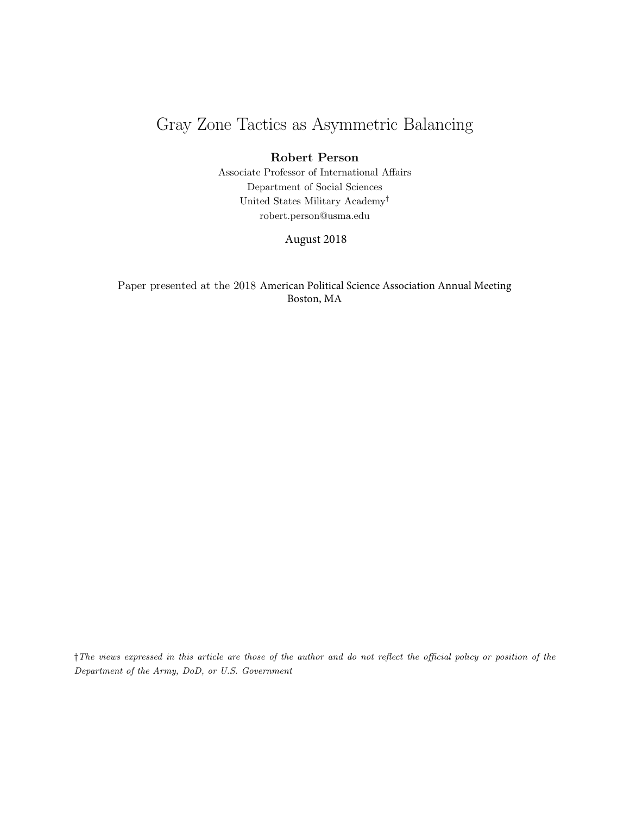# Gray Zone Tactics as Asymmetric Balancing

## Robert Person

Associate Professor of International Affairs Department of Social Sciences United States Military Academy† robert.person@usma.edu

August 2018

Paper presented at the 2018 American Political Science Association Annual Meeting Boston, MA

†The views expressed in this article are those of the author and do not reflect the official policy or position of the Department of the Army, DoD, or U.S. Government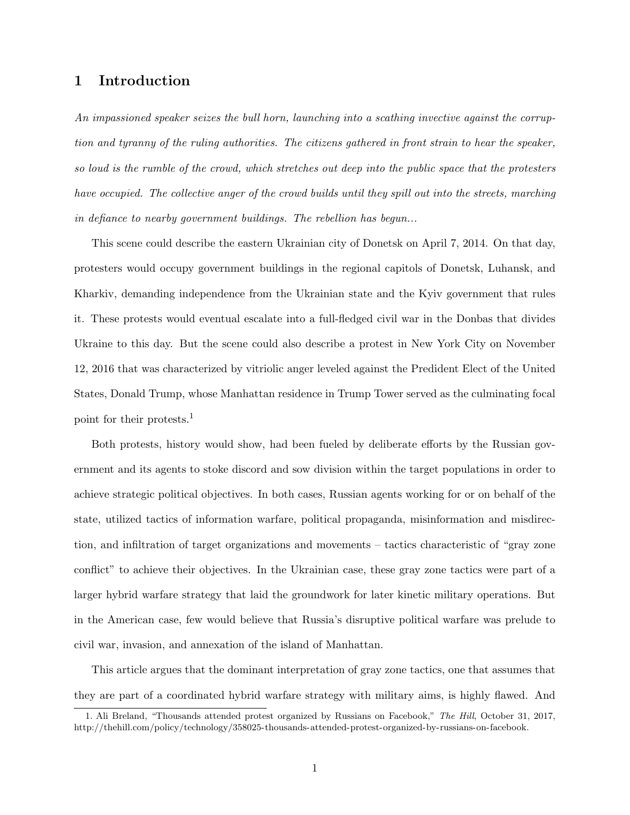## 1 Introduction

An impassioned speaker seizes the bull horn, launching into a scathing invective against the corruption and tyranny of the ruling authorities. The citizens gathered in front strain to hear the speaker, so loud is the rumble of the crowd, which stretches out deep into the public space that the protesters have occupied. The collective anger of the crowd builds until they spill out into the streets, marching in defiance to nearby government buildings. The rebellion has begun...

This scene could describe the eastern Ukrainian city of Donetsk on April 7, 2014. On that day, protesters would occupy government buildings in the regional capitols of Donetsk, Luhansk, and Kharkiv, demanding independence from the Ukrainian state and the Kyiv government that rules it. These protests would eventual escalate into a full-fledged civil war in the Donbas that divides Ukraine to this day. But the scene could also describe a protest in New York City on November 12, 2016 that was characterized by vitriolic anger leveled against the Predident Elect of the United States, Donald Trump, whose Manhattan residence in Trump Tower served as the culminating focal point for their protests.<sup>1</sup>

Both protests, history would show, had been fueled by deliberate efforts by the Russian government and its agents to stoke discord and sow division within the target populations in order to achieve strategic political objectives. In both cases, Russian agents working for or on behalf of the state, utilized tactics of information warfare, political propaganda, misinformation and misdirection, and infiltration of target organizations and movements – tactics characteristic of "gray zone conflict" to achieve their objectives. In the Ukrainian case, these gray zone tactics were part of a larger hybrid warfare strategy that laid the groundwork for later kinetic military operations. But in the American case, few would believe that Russia's disruptive political warfare was prelude to civil war, invasion, and annexation of the island of Manhattan.

This article argues that the dominant interpretation of gray zone tactics, one that assumes that they are part of a coordinated hybrid warfare strategy with military aims, is highly flawed. And

<sup>1.</sup> Ali Breland, "Thousands attended protest organized by Russians on Facebook," The Hill, October 31, 2017, http://thehill.com/policy/technology/358025-thousands-attended-protest-organized-by-russians-on-facebook.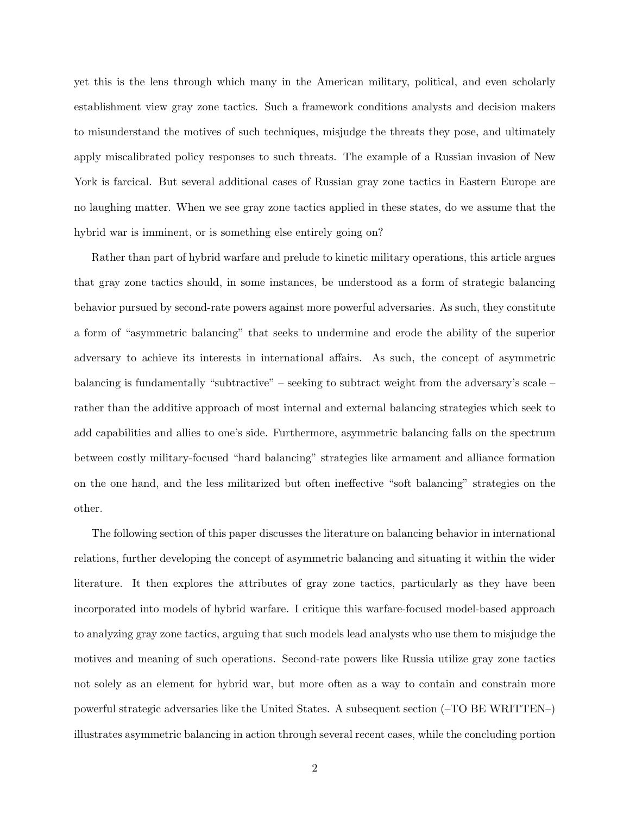yet this is the lens through which many in the American military, political, and even scholarly establishment view gray zone tactics. Such a framework conditions analysts and decision makers to misunderstand the motives of such techniques, misjudge the threats they pose, and ultimately apply miscalibrated policy responses to such threats. The example of a Russian invasion of New York is farcical. But several additional cases of Russian gray zone tactics in Eastern Europe are no laughing matter. When we see gray zone tactics applied in these states, do we assume that the hybrid war is imminent, or is something else entirely going on?

Rather than part of hybrid warfare and prelude to kinetic military operations, this article argues that gray zone tactics should, in some instances, be understood as a form of strategic balancing behavior pursued by second-rate powers against more powerful adversaries. As such, they constitute a form of "asymmetric balancing" that seeks to undermine and erode the ability of the superior adversary to achieve its interests in international affairs. As such, the concept of asymmetric balancing is fundamentally "subtractive" – seeking to subtract weight from the adversary's scale – rather than the additive approach of most internal and external balancing strategies which seek to add capabilities and allies to one's side. Furthermore, asymmetric balancing falls on the spectrum between costly military-focused "hard balancing" strategies like armament and alliance formation on the one hand, and the less militarized but often ineffective "soft balancing" strategies on the other.

The following section of this paper discusses the literature on balancing behavior in international relations, further developing the concept of asymmetric balancing and situating it within the wider literature. It then explores the attributes of gray zone tactics, particularly as they have been incorporated into models of hybrid warfare. I critique this warfare-focused model-based approach to analyzing gray zone tactics, arguing that such models lead analysts who use them to misjudge the motives and meaning of such operations. Second-rate powers like Russia utilize gray zone tactics not solely as an element for hybrid war, but more often as a way to contain and constrain more powerful strategic adversaries like the United States. A subsequent section (–TO BE WRITTEN–) illustrates asymmetric balancing in action through several recent cases, while the concluding portion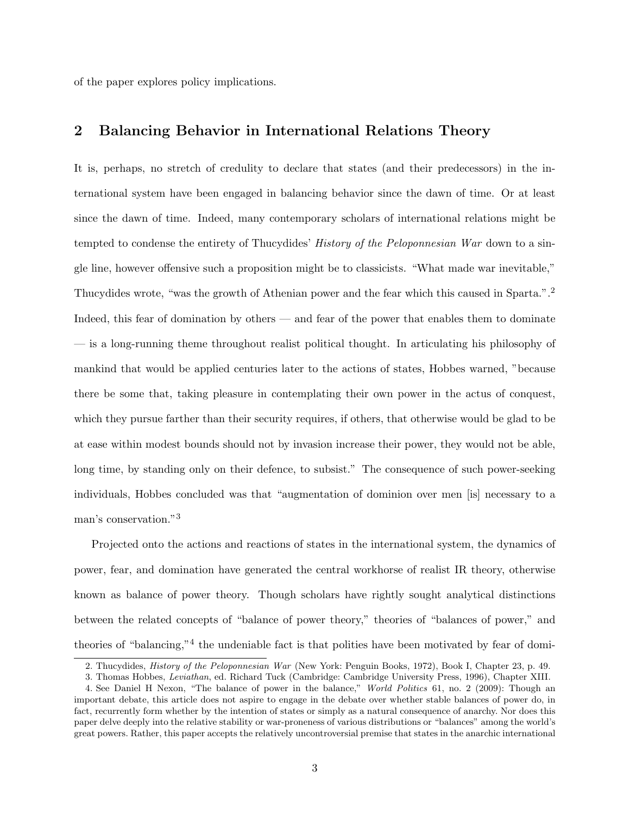of the paper explores policy implications.

## 2 Balancing Behavior in International Relations Theory

It is, perhaps, no stretch of credulity to declare that states (and their predecessors) in the international system have been engaged in balancing behavior since the dawn of time. Or at least since the dawn of time. Indeed, many contemporary scholars of international relations might be tempted to condense the entirety of Thucydides' *History of the Peloponnesian War* down to a single line, however offensive such a proposition might be to classicists. "What made war inevitable," Thucydides wrote, "was the growth of Athenian power and the fear which this caused in Sparta.".<sup>2</sup> Indeed, this fear of domination by others — and fear of the power that enables them to dominate — is a long-running theme throughout realist political thought. In articulating his philosophy of mankind that would be applied centuries later to the actions of states, Hobbes warned, "because there be some that, taking pleasure in contemplating their own power in the actus of conquest, which they pursue farther than their security requires, if others, that otherwise would be glad to be at ease within modest bounds should not by invasion increase their power, they would not be able, long time, by standing only on their defence, to subsist." The consequence of such power-seeking individuals, Hobbes concluded was that "augmentation of dominion over men [is] necessary to a man's conservation."<sup>3</sup>

Projected onto the actions and reactions of states in the international system, the dynamics of power, fear, and domination have generated the central workhorse of realist IR theory, otherwise known as balance of power theory. Though scholars have rightly sought analytical distinctions between the related concepts of "balance of power theory," theories of "balances of power," and theories of "balancing,"<sup>4</sup> the undeniable fact is that polities have been motivated by fear of domi-

<sup>2.</sup> Thucydides, History of the Peloponnesian War (New York: Penguin Books, 1972), Book I, Chapter 23, p. 49.

<sup>3.</sup> Thomas Hobbes, Leviathan, ed. Richard Tuck (Cambridge: Cambridge University Press, 1996), Chapter XIII.

<sup>4.</sup> See Daniel H Nexon, "The balance of power in the balance," World Politics 61, no. 2 (2009): Though an important debate, this article does not aspire to engage in the debate over whether stable balances of power do, in fact, recurrently form whether by the intention of states or simply as a natural consequence of anarchy. Nor does this paper delve deeply into the relative stability or war-proneness of various distributions or "balances" among the world's great powers. Rather, this paper accepts the relatively uncontroversial premise that states in the anarchic international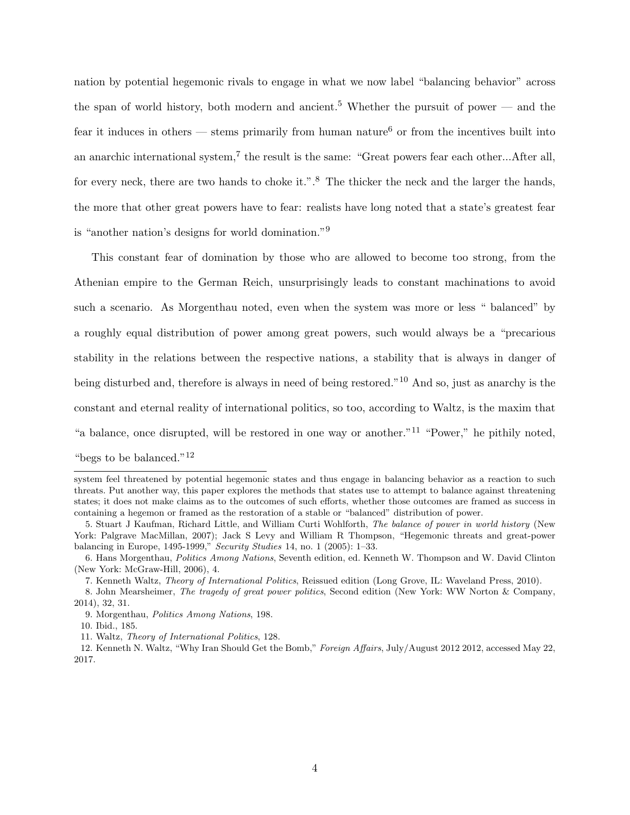nation by potential hegemonic rivals to engage in what we now label "balancing behavior" across the span of world history, both modern and ancient.<sup>5</sup> Whether the pursuit of power — and the fear it induces in others — stems primarily from human nature<sup>6</sup> or from the incentives built into an anarchic international system,<sup>7</sup> the result is the same: "Great powers fear each other...After all, for every neck, there are two hands to choke it.".<sup>8</sup> The thicker the neck and the larger the hands, the more that other great powers have to fear: realists have long noted that a state's greatest fear is "another nation's designs for world domination."<sup>9</sup>

This constant fear of domination by those who are allowed to become too strong, from the Athenian empire to the German Reich, unsurprisingly leads to constant machinations to avoid such a scenario. As Morgenthau noted, even when the system was more or less " balanced" by a roughly equal distribution of power among great powers, such would always be a "precarious stability in the relations between the respective nations, a stability that is always in danger of being disturbed and, therefore is always in need of being restored."<sup>10</sup> And so, just as anarchy is the constant and eternal reality of international politics, so too, according to Waltz, is the maxim that "a balance, once disrupted, will be restored in one way or another."<sup>11</sup> "Power," he pithily noted, "begs to be balanced."<sup>12</sup>

system feel threatened by potential hegemonic states and thus engage in balancing behavior as a reaction to such threats. Put another way, this paper explores the methods that states use to attempt to balance against threatening states; it does not make claims as to the outcomes of such efforts, whether those outcomes are framed as success in containing a hegemon or framed as the restoration of a stable or "balanced" distribution of power.

<sup>5.</sup> Stuart J Kaufman, Richard Little, and William Curti Wohlforth, The balance of power in world history (New York: Palgrave MacMillan, 2007); Jack S Levy and William R Thompson, "Hegemonic threats and great-power balancing in Europe, 1495-1999," Security Studies 14, no. 1 (2005): 1–33.

<sup>6.</sup> Hans Morgenthau, Politics Among Nations, Seventh edition, ed. Kenneth W. Thompson and W. David Clinton (New York: McGraw-Hill, 2006), 4.

<sup>7.</sup> Kenneth Waltz, Theory of International Politics, Reissued edition (Long Grove, IL: Waveland Press, 2010).

<sup>8.</sup> John Mearsheimer, The tragedy of great power politics, Second edition (New York: WW Norton & Company, 2014), 32, 31.

<sup>9.</sup> Morgenthau, Politics Among Nations, 198.

<sup>10.</sup> Ibid., 185.

<sup>11.</sup> Waltz, Theory of International Politics, 128.

<sup>12.</sup> Kenneth N. Waltz, "Why Iran Should Get the Bomb," Foreign Affairs, July/August 2012 2012, accessed May 22, 2017.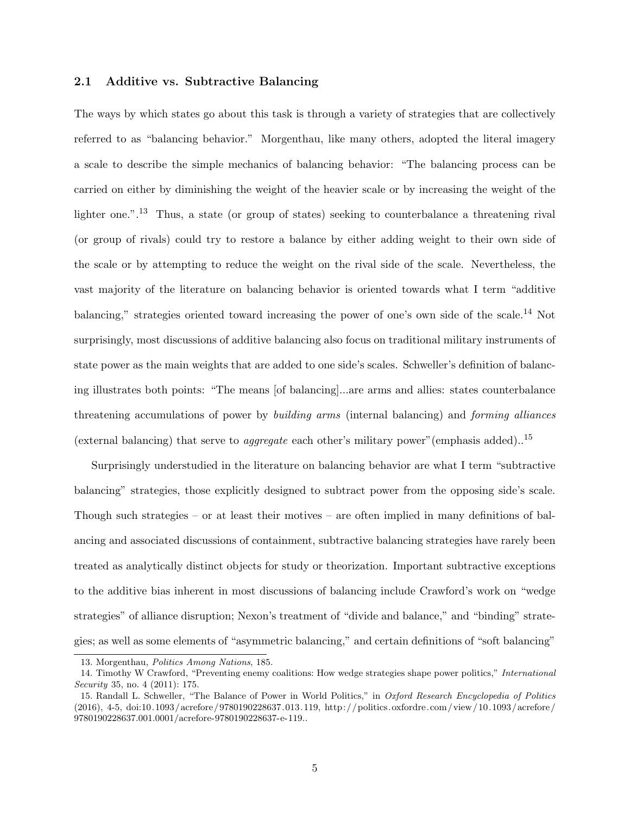## 2.1 Additive vs. Subtractive Balancing

The ways by which states go about this task is through a variety of strategies that are collectively referred to as "balancing behavior." Morgenthau, like many others, adopted the literal imagery a scale to describe the simple mechanics of balancing behavior: "The balancing process can be carried on either by diminishing the weight of the heavier scale or by increasing the weight of the lighter one.".<sup>13</sup> Thus, a state (or group of states) seeking to counterbalance a threatening rival (or group of rivals) could try to restore a balance by either adding weight to their own side of the scale or by attempting to reduce the weight on the rival side of the scale. Nevertheless, the vast majority of the literature on balancing behavior is oriented towards what I term "additive balancing," strategies oriented toward increasing the power of one's own side of the scale.<sup>14</sup> Not surprisingly, most discussions of additive balancing also focus on traditional military instruments of state power as the main weights that are added to one side's scales. Schweller's definition of balancing illustrates both points: "The means [of balancing]...are arms and allies: states counterbalance threatening accumulations of power by building arms (internal balancing) and forming alliances (external balancing) that serve to *aggregate* each other's military power"(emphasis added)..<sup>15</sup>

Surprisingly understudied in the literature on balancing behavior are what I term "subtractive balancing" strategies, those explicitly designed to subtract power from the opposing side's scale. Though such strategies – or at least their motives – are often implied in many definitions of balancing and associated discussions of containment, subtractive balancing strategies have rarely been treated as analytically distinct objects for study or theorization. Important subtractive exceptions to the additive bias inherent in most discussions of balancing include Crawford's work on "wedge strategies" of alliance disruption; Nexon's treatment of "divide and balance," and "binding" strategies; as well as some elements of "asymmetric balancing," and certain definitions of "soft balancing"

<sup>13.</sup> Morgenthau, Politics Among Nations, 185.

<sup>14.</sup> Timothy W Crawford, "Preventing enemy coalitions: How wedge strategies shape power politics," International Security 35, no. 4 (2011): 175.

<sup>15.</sup> Randall L. Schweller, "The Balance of Power in World Politics," in Oxford Research Encyclopedia of Politics (2016), 4-5, doi:10.1093/acrefore/9780190228637.013.119, http://politics.oxfordre.com/view/10.1093/acrefore/ 9780190228637.001.0001/acrefore-9780190228637-e-119..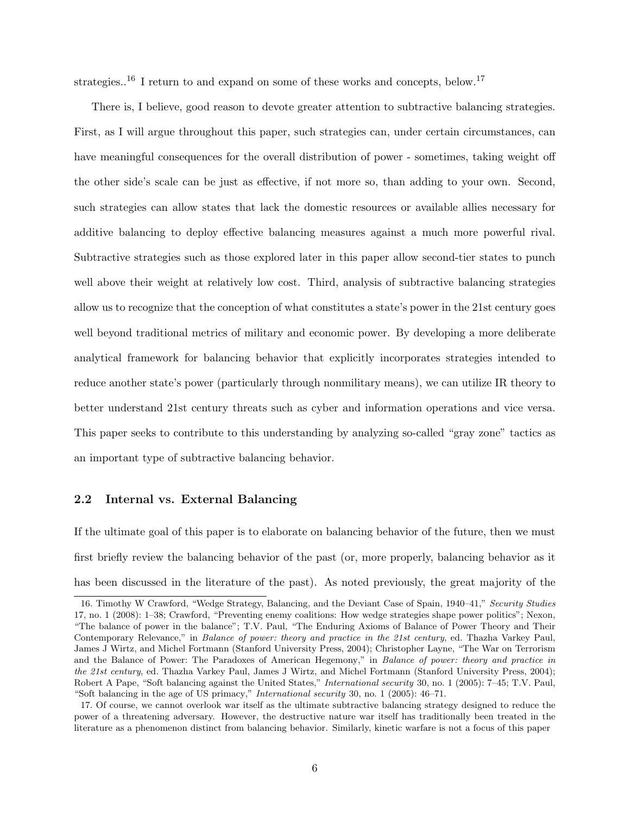strategies.<sup>16</sup> I return to and expand on some of these works and concepts, below.<sup>17</sup>

There is, I believe, good reason to devote greater attention to subtractive balancing strategies. First, as I will argue throughout this paper, such strategies can, under certain circumstances, can have meaningful consequences for the overall distribution of power - sometimes, taking weight off the other side's scale can be just as effective, if not more so, than adding to your own. Second, such strategies can allow states that lack the domestic resources or available allies necessary for additive balancing to deploy effective balancing measures against a much more powerful rival. Subtractive strategies such as those explored later in this paper allow second-tier states to punch well above their weight at relatively low cost. Third, analysis of subtractive balancing strategies allow us to recognize that the conception of what constitutes a state's power in the 21st century goes well beyond traditional metrics of military and economic power. By developing a more deliberate analytical framework for balancing behavior that explicitly incorporates strategies intended to reduce another state's power (particularly through nonmilitary means), we can utilize IR theory to better understand 21st century threats such as cyber and information operations and vice versa. This paper seeks to contribute to this understanding by analyzing so-called "gray zone" tactics as an important type of subtractive balancing behavior.

## 2.2 Internal vs. External Balancing

If the ultimate goal of this paper is to elaborate on balancing behavior of the future, then we must first briefly review the balancing behavior of the past (or, more properly, balancing behavior as it has been discussed in the literature of the past). As noted previously, the great majority of the

<sup>16.</sup> Timothy W Crawford, "Wedge Strategy, Balancing, and the Deviant Case of Spain, 1940–41," Security Studies 17, no. 1 (2008): 1–38; Crawford, "Preventing enemy coalitions: How wedge strategies shape power politics"; Nexon, "The balance of power in the balance"; T.V. Paul, "The Enduring Axioms of Balance of Power Theory and Their Contemporary Relevance," in Balance of power: theory and practice in the 21st century, ed. Thazha Varkey Paul, James J Wirtz, and Michel Fortmann (Stanford University Press, 2004); Christopher Layne, "The War on Terrorism and the Balance of Power: The Paradoxes of American Hegemony," in Balance of power: theory and practice in the 21st century, ed. Thazha Varkey Paul, James J Wirtz, and Michel Fortmann (Stanford University Press, 2004); Robert A Pape, "Soft balancing against the United States," International security 30, no. 1 (2005): 7–45; T.V. Paul, "Soft balancing in the age of US primacy," International security 30, no. 1 (2005): 46–71.

<sup>17.</sup> Of course, we cannot overlook war itself as the ultimate subtractive balancing strategy designed to reduce the power of a threatening adversary. However, the destructive nature war itself has traditionally been treated in the literature as a phenomenon distinct from balancing behavior. Similarly, kinetic warfare is not a focus of this paper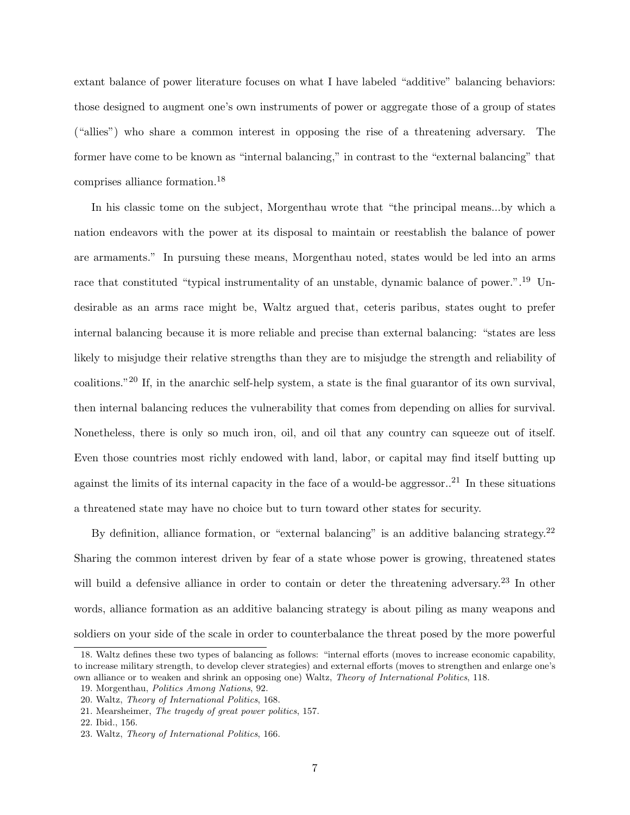extant balance of power literature focuses on what I have labeled "additive" balancing behaviors: those designed to augment one's own instruments of power or aggregate those of a group of states ("allies") who share a common interest in opposing the rise of a threatening adversary. The former have come to be known as "internal balancing," in contrast to the "external balancing" that comprises alliance formation.<sup>18</sup>

In his classic tome on the subject, Morgenthau wrote that "the principal means...by which a nation endeavors with the power at its disposal to maintain or reestablish the balance of power are armaments." In pursuing these means, Morgenthau noted, states would be led into an arms race that constituted "typical instrumentality of an unstable, dynamic balance of power.".<sup>19</sup> Undesirable as an arms race might be, Waltz argued that, ceteris paribus, states ought to prefer internal balancing because it is more reliable and precise than external balancing: "states are less likely to misjudge their relative strengths than they are to misjudge the strength and reliability of coalitions."<sup>20</sup> If, in the anarchic self-help system, a state is the final guarantor of its own survival, then internal balancing reduces the vulnerability that comes from depending on allies for survival. Nonetheless, there is only so much iron, oil, and oil that any country can squeeze out of itself. Even those countries most richly endowed with land, labor, or capital may find itself butting up against the limits of its internal capacity in the face of a would-be aggressor..<sup>21</sup> In these situations a threatened state may have no choice but to turn toward other states for security.

By definition, alliance formation, or "external balancing" is an additive balancing strategy.<sup>22</sup> Sharing the common interest driven by fear of a state whose power is growing, threatened states will build a defensive alliance in order to contain or deter the threatening adversary.<sup>23</sup> In other words, alliance formation as an additive balancing strategy is about piling as many weapons and soldiers on your side of the scale in order to counterbalance the threat posed by the more powerful

<sup>18.</sup> Waltz defines these two types of balancing as follows: "internal efforts (moves to increase economic capability, to increase military strength, to develop clever strategies) and external efforts (moves to strengthen and enlarge one's own alliance or to weaken and shrink an opposing one) Waltz, Theory of International Politics, 118.

<sup>19.</sup> Morgenthau, Politics Among Nations, 92.

<sup>20.</sup> Waltz, Theory of International Politics, 168.

<sup>21.</sup> Mearsheimer, The tragedy of great power politics, 157.

<sup>22.</sup> Ibid., 156.

<sup>23.</sup> Waltz, Theory of International Politics, 166.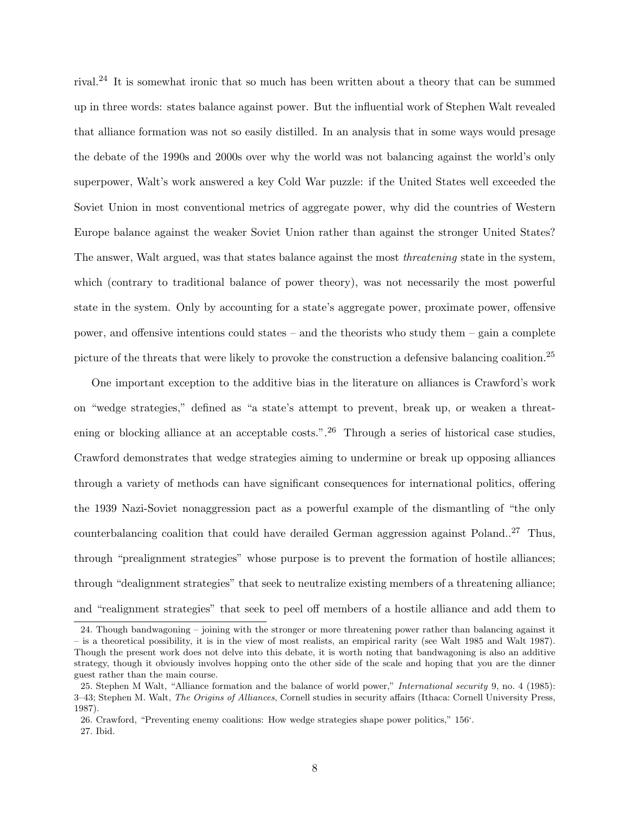rival.<sup>24</sup> It is somewhat ironic that so much has been written about a theory that can be summed up in three words: states balance against power. But the influential work of Stephen Walt revealed that alliance formation was not so easily distilled. In an analysis that in some ways would presage the debate of the 1990s and 2000s over why the world was not balancing against the world's only superpower, Walt's work answered a key Cold War puzzle: if the United States well exceeded the Soviet Union in most conventional metrics of aggregate power, why did the countries of Western Europe balance against the weaker Soviet Union rather than against the stronger United States? The answer, Walt argued, was that states balance against the most threatening state in the system, which (contrary to traditional balance of power theory), was not necessarily the most powerful state in the system. Only by accounting for a state's aggregate power, proximate power, offensive power, and offensive intentions could states – and the theorists who study them – gain a complete picture of the threats that were likely to provoke the construction a defensive balancing coalition.<sup>25</sup>

One important exception to the additive bias in the literature on alliances is Crawford's work on "wedge strategies," defined as "a state's attempt to prevent, break up, or weaken a threatening or blocking alliance at an acceptable costs.".<sup>26</sup> Through a series of historical case studies, Crawford demonstrates that wedge strategies aiming to undermine or break up opposing alliances through a variety of methods can have significant consequences for international politics, offering the 1939 Nazi-Soviet nonaggression pact as a powerful example of the dismantling of "the only counterbalancing coalition that could have derailed German aggression against Poland..<sup>27</sup> Thus, through "prealignment strategies" whose purpose is to prevent the formation of hostile alliances; through "dealignment strategies" that seek to neutralize existing members of a threatening alliance; and "realignment strategies" that seek to peel off members of a hostile alliance and add them to

<sup>24.</sup> Though bandwagoning – joining with the stronger or more threatening power rather than balancing against it – is a theoretical possibility, it is in the view of most realists, an empirical rarity (see Walt 1985 and Walt 1987). Though the present work does not delve into this debate, it is worth noting that bandwagoning is also an additive strategy, though it obviously involves hopping onto the other side of the scale and hoping that you are the dinner guest rather than the main course.

<sup>25.</sup> Stephen M Walt, "Alliance formation and the balance of world power," International security 9, no. 4 (1985): 3–43; Stephen M. Walt, The Origins of Alliances, Cornell studies in security affairs (Ithaca: Cornell University Press, 1987).

<sup>26.</sup> Crawford, "Preventing enemy coalitions: How wedge strategies shape power politics," 156'. 27. Ibid.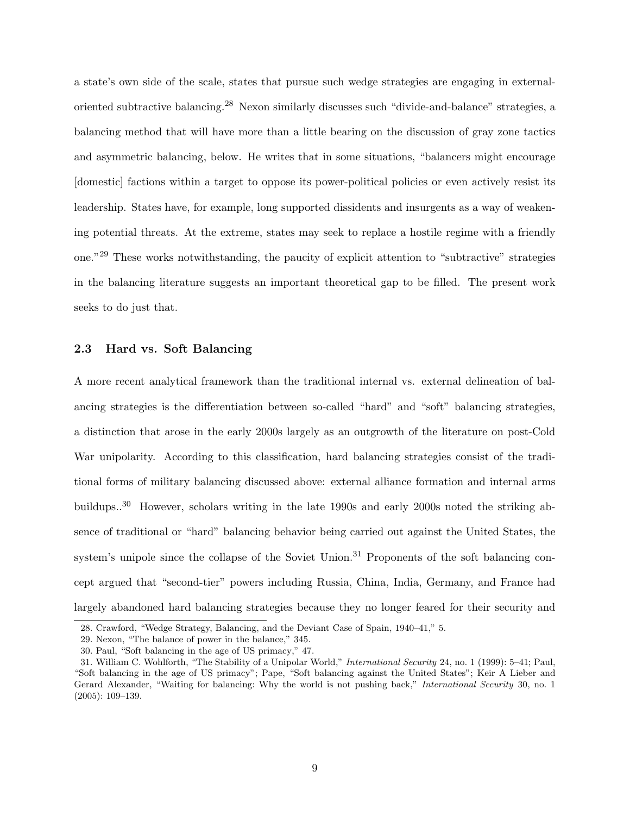a state's own side of the scale, states that pursue such wedge strategies are engaging in externaloriented subtractive balancing.<sup>28</sup> Nexon similarly discusses such "divide-and-balance" strategies, a balancing method that will have more than a little bearing on the discussion of gray zone tactics and asymmetric balancing, below. He writes that in some situations, "balancers might encourage [domestic] factions within a target to oppose its power-political policies or even actively resist its leadership. States have, for example, long supported dissidents and insurgents as a way of weakening potential threats. At the extreme, states may seek to replace a hostile regime with a friendly one."<sup>29</sup> These works notwithstanding, the paucity of explicit attention to "subtractive" strategies in the balancing literature suggests an important theoretical gap to be filled. The present work seeks to do just that.

#### 2.3 Hard vs. Soft Balancing

A more recent analytical framework than the traditional internal vs. external delineation of balancing strategies is the differentiation between so-called "hard" and "soft" balancing strategies, a distinction that arose in the early 2000s largely as an outgrowth of the literature on post-Cold War unipolarity. According to this classification, hard balancing strategies consist of the traditional forms of military balancing discussed above: external alliance formation and internal arms buildups.<sup>30</sup> However, scholars writing in the late 1990s and early 2000s noted the striking absence of traditional or "hard" balancing behavior being carried out against the United States, the system's unipole since the collapse of the Soviet Union.<sup>31</sup> Proponents of the soft balancing concept argued that "second-tier" powers including Russia, China, India, Germany, and France had largely abandoned hard balancing strategies because they no longer feared for their security and

<sup>28.</sup> Crawford, "Wedge Strategy, Balancing, and the Deviant Case of Spain, 1940–41," 5.

<sup>29.</sup> Nexon, "The balance of power in the balance," 345.

<sup>30.</sup> Paul, "Soft balancing in the age of US primacy," 47.

<sup>31.</sup> William C. Wohlforth, "The Stability of a Unipolar World," International Security 24, no. 1 (1999): 5–41; Paul, "Soft balancing in the age of US primacy"; Pape, "Soft balancing against the United States"; Keir A Lieber and Gerard Alexander, "Waiting for balancing: Why the world is not pushing back," International Security 30, no. 1 (2005): 109–139.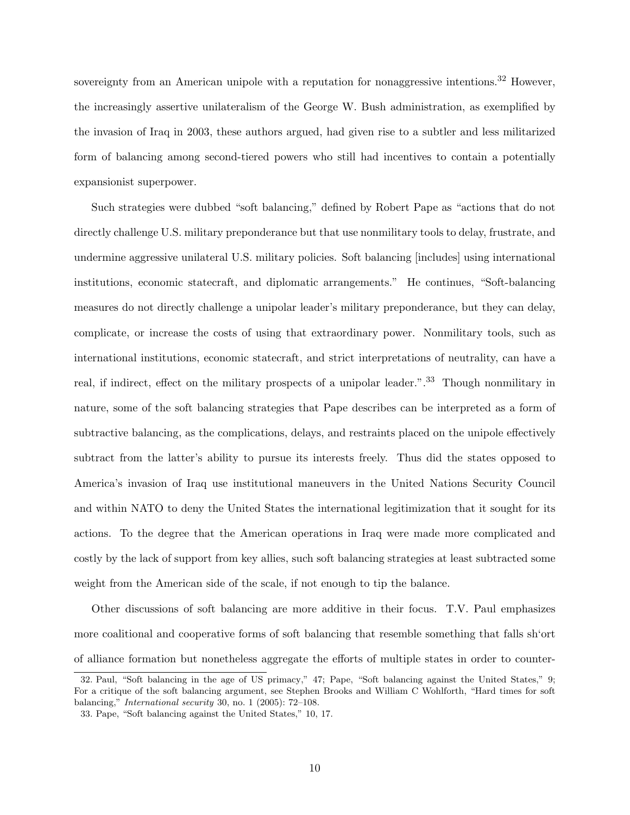sovereignty from an American unipole with a reputation for nonaggressive intentions.<sup>32</sup> However, the increasingly assertive unilateralism of the George W. Bush administration, as exemplified by the invasion of Iraq in 2003, these authors argued, had given rise to a subtler and less militarized form of balancing among second-tiered powers who still had incentives to contain a potentially expansionist superpower.

Such strategies were dubbed "soft balancing," defined by Robert Pape as "actions that do not directly challenge U.S. military preponderance but that use nonmilitary tools to delay, frustrate, and undermine aggressive unilateral U.S. military policies. Soft balancing [includes] using international institutions, economic statecraft, and diplomatic arrangements." He continues, "Soft-balancing measures do not directly challenge a unipolar leader's military preponderance, but they can delay, complicate, or increase the costs of using that extraordinary power. Nonmilitary tools, such as international institutions, economic statecraft, and strict interpretations of neutrality, can have a real, if indirect, effect on the military prospects of a unipolar leader.".<sup>33</sup> Though nonmilitary in nature, some of the soft balancing strategies that Pape describes can be interpreted as a form of subtractive balancing, as the complications, delays, and restraints placed on the unipole effectively subtract from the latter's ability to pursue its interests freely. Thus did the states opposed to America's invasion of Iraq use institutional maneuvers in the United Nations Security Council and within NATO to deny the United States the international legitimization that it sought for its actions. To the degree that the American operations in Iraq were made more complicated and costly by the lack of support from key allies, such soft balancing strategies at least subtracted some weight from the American side of the scale, if not enough to tip the balance.

Other discussions of soft balancing are more additive in their focus. T.V. Paul emphasizes more coalitional and cooperative forms of soft balancing that resemble something that falls sh'ort of alliance formation but nonetheless aggregate the efforts of multiple states in order to counter-

<sup>32.</sup> Paul, "Soft balancing in the age of US primacy," 47; Pape, "Soft balancing against the United States," 9; For a critique of the soft balancing argument, see Stephen Brooks and William C Wohlforth, "Hard times for soft balancing," International security 30, no. 1 (2005): 72–108.

<sup>33.</sup> Pape, "Soft balancing against the United States," 10, 17.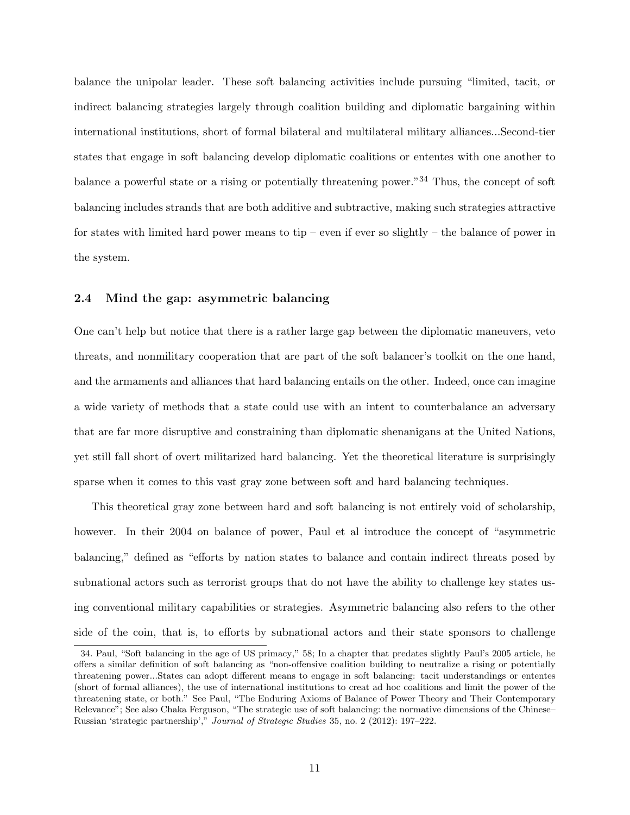balance the unipolar leader. These soft balancing activities include pursuing "limited, tacit, or indirect balancing strategies largely through coalition building and diplomatic bargaining within international institutions, short of formal bilateral and multilateral military alliances...Second-tier states that engage in soft balancing develop diplomatic coalitions or ententes with one another to balance a powerful state or a rising or potentially threatening power."<sup>34</sup> Thus, the concept of soft balancing includes strands that are both additive and subtractive, making such strategies attractive for states with limited hard power means to tip – even if ever so slightly – the balance of power in the system.

## 2.4 Mind the gap: asymmetric balancing

One can't help but notice that there is a rather large gap between the diplomatic maneuvers, veto threats, and nonmilitary cooperation that are part of the soft balancer's toolkit on the one hand, and the armaments and alliances that hard balancing entails on the other. Indeed, once can imagine a wide variety of methods that a state could use with an intent to counterbalance an adversary that are far more disruptive and constraining than diplomatic shenanigans at the United Nations, yet still fall short of overt militarized hard balancing. Yet the theoretical literature is surprisingly sparse when it comes to this vast gray zone between soft and hard balancing techniques.

This theoretical gray zone between hard and soft balancing is not entirely void of scholarship, however. In their 2004 on balance of power, Paul et al introduce the concept of "asymmetric balancing," defined as "efforts by nation states to balance and contain indirect threats posed by subnational actors such as terrorist groups that do not have the ability to challenge key states using conventional military capabilities or strategies. Asymmetric balancing also refers to the other side of the coin, that is, to efforts by subnational actors and their state sponsors to challenge

<sup>34.</sup> Paul, "Soft balancing in the age of US primacy," 58; In a chapter that predates slightly Paul's 2005 article, he offers a similar definition of soft balancing as "non-offensive coalition building to neutralize a rising or potentially threatening power...States can adopt different means to engage in soft balancing: tacit understandings or ententes (short of formal alliances), the use of international institutions to creat ad hoc coalitions and limit the power of the threatening state, or both." See Paul, "The Enduring Axioms of Balance of Power Theory and Their Contemporary Relevance"; See also Chaka Ferguson, "The strategic use of soft balancing: the normative dimensions of the Chinese– Russian 'strategic partnership'," Journal of Strategic Studies 35, no. 2 (2012): 197–222.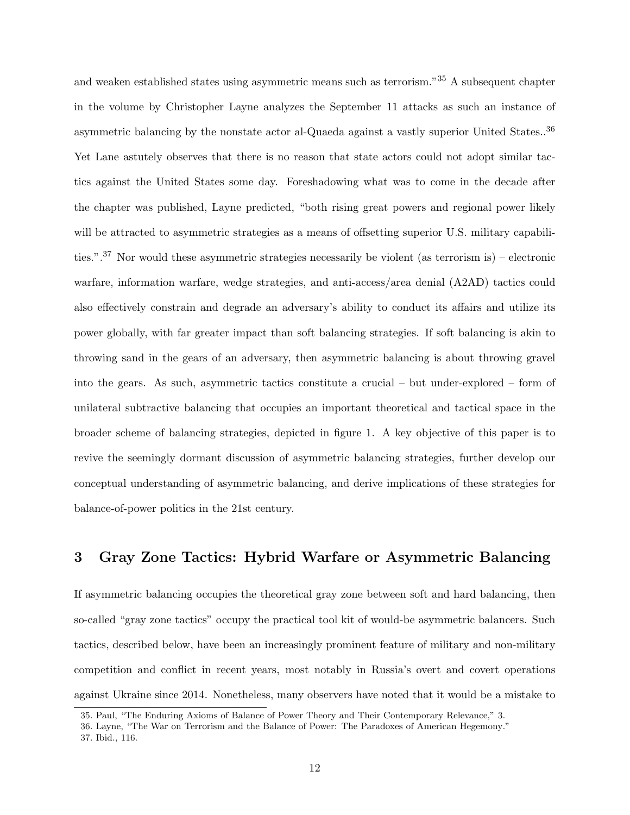and weaken established states using asymmetric means such as terrorism."<sup>35</sup> A subsequent chapter in the volume by Christopher Layne analyzes the September 11 attacks as such an instance of asymmetric balancing by the nonstate actor al-Quaeda against a vastly superior United States..<sup>36</sup> Yet Lane astutely observes that there is no reason that state actors could not adopt similar tactics against the United States some day. Foreshadowing what was to come in the decade after the chapter was published, Layne predicted, "both rising great powers and regional power likely will be attracted to asymmetric strategies as a means of offsetting superior U.S. military capabilities.".<sup>37</sup> Nor would these asymmetric strategies necessarily be violent (as terrorism is) – electronic warfare, information warfare, wedge strategies, and anti-access/area denial (A2AD) tactics could also effectively constrain and degrade an adversary's ability to conduct its affairs and utilize its power globally, with far greater impact than soft balancing strategies. If soft balancing is akin to throwing sand in the gears of an adversary, then asymmetric balancing is about throwing gravel into the gears. As such, asymmetric tactics constitute a crucial – but under-explored – form of unilateral subtractive balancing that occupies an important theoretical and tactical space in the broader scheme of balancing strategies, depicted in figure 1. A key objective of this paper is to revive the seemingly dormant discussion of asymmetric balancing strategies, further develop our conceptual understanding of asymmetric balancing, and derive implications of these strategies for balance-of-power politics in the 21st century.

## 3 Gray Zone Tactics: Hybrid Warfare or Asymmetric Balancing

If asymmetric balancing occupies the theoretical gray zone between soft and hard balancing, then so-called "gray zone tactics" occupy the practical tool kit of would-be asymmetric balancers. Such tactics, described below, have been an increasingly prominent feature of military and non-military competition and conflict in recent years, most notably in Russia's overt and covert operations against Ukraine since 2014. Nonetheless, many observers have noted that it would be a mistake to

<sup>35.</sup> Paul, "The Enduring Axioms of Balance of Power Theory and Their Contemporary Relevance," 3.

<sup>36.</sup> Layne, "The War on Terrorism and the Balance of Power: The Paradoxes of American Hegemony." 37. Ibid., 116.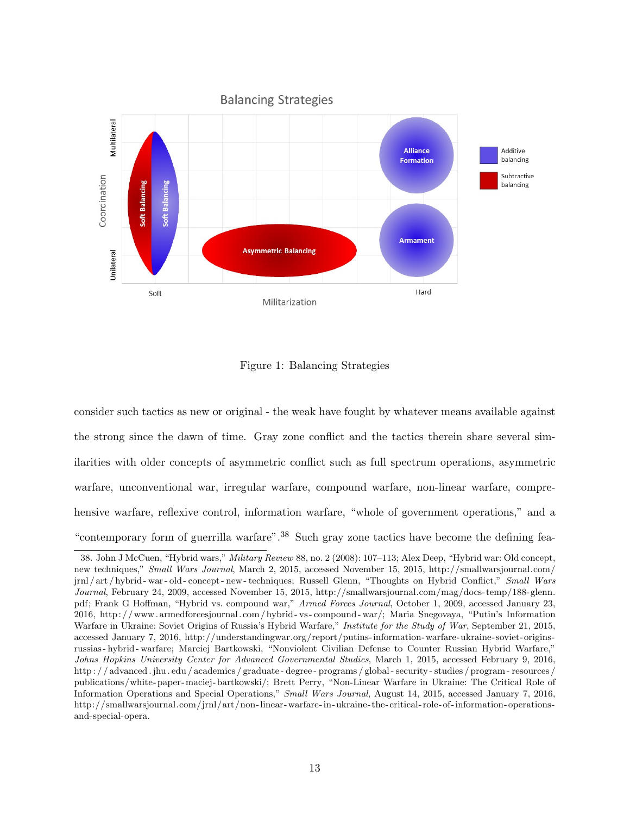

Figure 1: Balancing Strategies

consider such tactics as new or original - the weak have fought by whatever means available against the strong since the dawn of time. Gray zone conflict and the tactics therein share several similarities with older concepts of asymmetric conflict such as full spectrum operations, asymmetric warfare, unconventional war, irregular warfare, compound warfare, non-linear warfare, comprehensive warfare, reflexive control, information warfare, "whole of government operations," and a "contemporary form of guerrilla warfare".<sup>38</sup> Such gray zone tactics have become the defining fea-

<sup>38.</sup> John J McCuen, "Hybrid wars," Military Review 88, no. 2 (2008): 107–113; Alex Deep, "Hybrid war: Old concept, new techniques," Small Wars Journal, March 2, 2015, accessed November 15, 2015, http://smallwarsjournal.com/ jrnl / art / hybrid - war - old - concept - new - techniques; Russell Glenn, "Thoughts on Hybrid Conflict," Small Wars Journal, February 24, 2009, accessed November 15, 2015, http://smallwarsjournal.com/mag/docs-temp/188-glenn. pdf; Frank G Hoffman, "Hybrid vs. compound war," Armed Forces Journal, October 1, 2009, accessed January 23, 2016, http: / /www. armedforcesjournal. com / hybrid - vs - compound - war/; Maria Snegovaya, "Putin's Information Warfare in Ukraine: Soviet Origins of Russia's Hybrid Warfare," Institute for the Study of War, September 21, 2015, accessed January 7, 2016, http://understandingwar.org/report/putins-information-warfare-ukraine-soviet-originsrussias - hybrid - warfare; Marciej Bartkowski, "Nonviolent Civilian Defense to Counter Russian Hybrid Warfare," Johns Hopkins University Center for Advanced Governmental Studies, March 1, 2015, accessed February 9, 2016, http : / / advanced . jhu . edu / academics / graduate - degree - programs / global - security - studies / program - resources / publications/white- paper-maciej- bartkowski/; Brett Perry, "Non-Linear Warfare in Ukraine: The Critical Role of Information Operations and Special Operations," Small Wars Journal, August 14, 2015, accessed January 7, 2016, http://smallwarsjournal.com/jrnl/art/non-linear-warfare-in-ukraine- the- critical- role- of-information- operationsand-special-opera.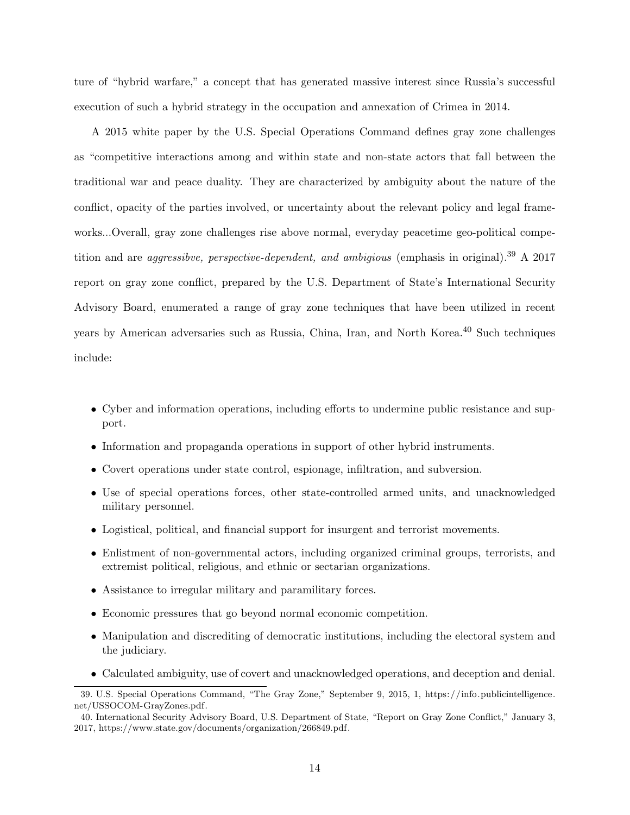ture of "hybrid warfare," a concept that has generated massive interest since Russia's successful execution of such a hybrid strategy in the occupation and annexation of Crimea in 2014.

A 2015 white paper by the U.S. Special Operations Command defines gray zone challenges as "competitive interactions among and within state and non-state actors that fall between the traditional war and peace duality. They are characterized by ambiguity about the nature of the conflict, opacity of the parties involved, or uncertainty about the relevant policy and legal frameworks...Overall, gray zone challenges rise above normal, everyday peacetime geo-political competition and are *aggressibve, perspective-dependent, and ambigious* (emphasis in original).<sup>39</sup> A 2017 report on gray zone conflict, prepared by the U.S. Department of State's International Security Advisory Board, enumerated a range of gray zone techniques that have been utilized in recent years by American adversaries such as Russia, China, Iran, and North Korea.<sup>40</sup> Such techniques include:

- Cyber and information operations, including efforts to undermine public resistance and support.
- Information and propaganda operations in support of other hybrid instruments.
- Covert operations under state control, espionage, infiltration, and subversion.
- Use of special operations forces, other state-controlled armed units, and unacknowledged military personnel.
- Logistical, political, and financial support for insurgent and terrorist movements.
- Enlistment of non-governmental actors, including organized criminal groups, terrorists, and extremist political, religious, and ethnic or sectarian organizations.
- Assistance to irregular military and paramilitary forces.
- Economic pressures that go beyond normal economic competition.
- Manipulation and discrediting of democratic institutions, including the electoral system and the judiciary.
- Calculated ambiguity, use of covert and unacknowledged operations, and deception and denial.

<sup>39.</sup> U.S. Special Operations Command, "The Gray Zone," September 9, 2015, 1, https://info.publicintelligence. net/USSOCOM-GrayZones.pdf.

<sup>40.</sup> International Security Advisory Board, U.S. Department of State, "Report on Gray Zone Conflict," January 3, 2017, https://www.state.gov/documents/organization/266849.pdf.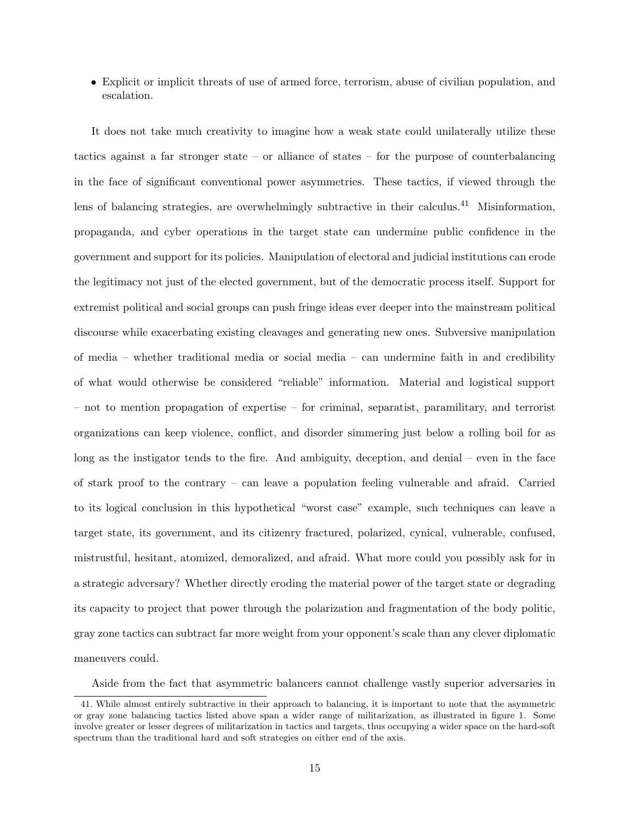• Explicit or implicit threats of use of armed force, terrorism, abuse of civilian population, and escalation.

It does not take much creativity to imagine how a weak state could unilaterally utilize these tactics against a far stronger state – or alliance of states – for the purpose of counterbalancing in the face of significant conventional power asymmetries. These tactics, if viewed through the lens of balancing strategies, are overwhelmingly subtractive in their calculus.<sup>41</sup> Misinformation, propaganda, and cyber operations in the target state can undermine public confidence in the government and support for its policies. Manipulation of electoral and judicial institutions can erode the legitimacy not just of the elected government, but of the democratic process itself. Support for extremist political and social groups can push fringe ideas ever deeper into the mainstream political discourse while exacerbating existing cleavages and generating new ones. Subversive manipulation of media – whether traditional media or social media – can undermine faith in and credibility of what would otherwise be considered "reliable" information. Material and logistical support – not to mention propagation of expertise – for criminal, separatist, paramilitary, and terrorist organizations can keep violence, conflict, and disorder simmering just below a rolling boil for as long as the instigator tends to the fire. And ambiguity, deception, and denial – even in the face of stark proof to the contrary – can leave a population feeling vulnerable and afraid. Carried to its logical conclusion in this hypothetical "worst case" example, such techniques can leave a target state, its government, and its citizenry fractured, polarized, cynical, vulnerable, confused, mistrustful, hesitant, atomized, demoralized, and afraid. What more could you possibly ask for in a strategic adversary? Whether directly eroding the material power of the target state or degrading its capacity to project that power through the polarization and fragmentation of the body politic, gray zone tactics can subtract far more weight from your opponent's scale than any clever diplomatic maneuvers could.

Aside from the fact that asymmetric balancers cannot challenge vastly superior adversaries in

<sup>41.</sup> While almost entirely subtractive in their approach to balancing, it is important to note that the asymmetric or gray zone balancing tactics listed above span a wider range of militarization, as illustrated in figure 1. Some involve greater or lesser degrees of militarization in tactics and targets, thus occupying a wider space on the hard-soft spectrum than the traditional hard and soft strategies on either end of the axis.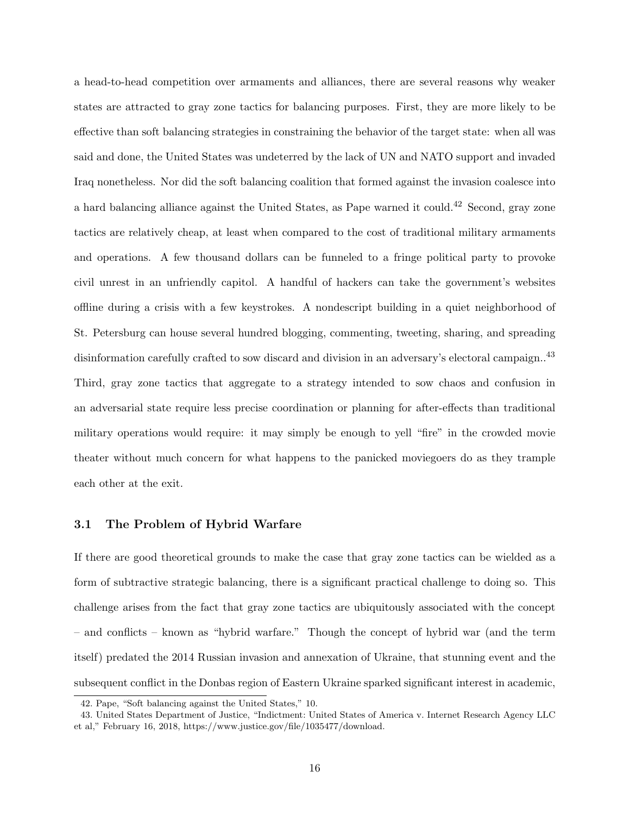a head-to-head competition over armaments and alliances, there are several reasons why weaker states are attracted to gray zone tactics for balancing purposes. First, they are more likely to be effective than soft balancing strategies in constraining the behavior of the target state: when all was said and done, the United States was undeterred by the lack of UN and NATO support and invaded Iraq nonetheless. Nor did the soft balancing coalition that formed against the invasion coalesce into a hard balancing alliance against the United States, as Pape warned it could.<sup>42</sup> Second, gray zone tactics are relatively cheap, at least when compared to the cost of traditional military armaments and operations. A few thousand dollars can be funneled to a fringe political party to provoke civil unrest in an unfriendly capitol. A handful of hackers can take the government's websites offline during a crisis with a few keystrokes. A nondescript building in a quiet neighborhood of St. Petersburg can house several hundred blogging, commenting, tweeting, sharing, and spreading disinformation carefully crafted to sow discard and division in an adversary's electoral campaign..<sup>43</sup> Third, gray zone tactics that aggregate to a strategy intended to sow chaos and confusion in an adversarial state require less precise coordination or planning for after-effects than traditional military operations would require: it may simply be enough to yell "fire" in the crowded movie theater without much concern for what happens to the panicked moviegoers do as they trample each other at the exit.

#### 3.1 The Problem of Hybrid Warfare

If there are good theoretical grounds to make the case that gray zone tactics can be wielded as a form of subtractive strategic balancing, there is a significant practical challenge to doing so. This challenge arises from the fact that gray zone tactics are ubiquitously associated with the concept – and conflicts – known as "hybrid warfare." Though the concept of hybrid war (and the term itself) predated the 2014 Russian invasion and annexation of Ukraine, that stunning event and the subsequent conflict in the Donbas region of Eastern Ukraine sparked significant interest in academic,

<sup>42.</sup> Pape, "Soft balancing against the United States," 10.

<sup>43.</sup> United States Department of Justice, "Indictment: United States of America v. Internet Research Agency LLC et al," February 16, 2018, https://www.justice.gov/file/1035477/download.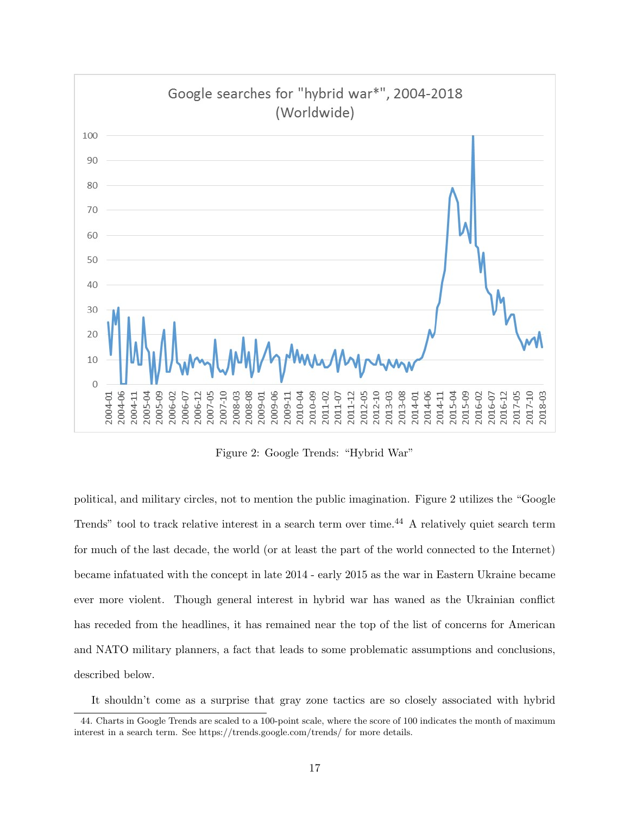

Figure 2: Google Trends: "Hybrid War"

political, and military circles, not to mention the public imagination. Figure 2 utilizes the "Google Trends" tool to track relative interest in a search term over time.<sup>44</sup> A relatively quiet search term for much of the last decade, the world (or at least the part of the world connected to the Internet) became infatuated with the concept in late 2014 - early 2015 as the war in Eastern Ukraine became ever more violent. Though general interest in hybrid war has waned as the Ukrainian conflict has receded from the headlines, it has remained near the top of the list of concerns for American and NATO military planners, a fact that leads to some problematic assumptions and conclusions, described below.

It shouldn't come as a surprise that gray zone tactics are so closely associated with hybrid

<sup>44.</sup> Charts in Google Trends are scaled to a 100-point scale, where the score of 100 indicates the month of maximum interest in a search term. See https://trends.google.com/trends/ for more details.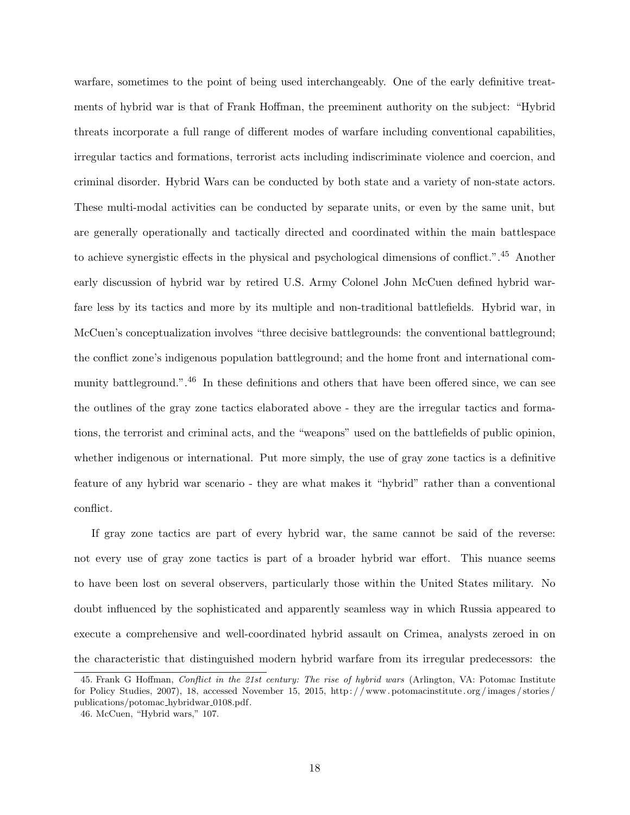warfare, sometimes to the point of being used interchangeably. One of the early definitive treatments of hybrid war is that of Frank Hoffman, the preeminent authority on the subject: "Hybrid threats incorporate a full range of different modes of warfare including conventional capabilities, irregular tactics and formations, terrorist acts including indiscriminate violence and coercion, and criminal disorder. Hybrid Wars can be conducted by both state and a variety of non-state actors. These multi-modal activities can be conducted by separate units, or even by the same unit, but are generally operationally and tactically directed and coordinated within the main battlespace to achieve synergistic effects in the physical and psychological dimensions of conflict.".<sup>45</sup> Another early discussion of hybrid war by retired U.S. Army Colonel John McCuen defined hybrid warfare less by its tactics and more by its multiple and non-traditional battlefields. Hybrid war, in McCuen's conceptualization involves "three decisive battlegrounds: the conventional battleground; the conflict zone's indigenous population battleground; and the home front and international community battleground.".<sup>46</sup> In these definitions and others that have been offered since, we can see the outlines of the gray zone tactics elaborated above - they are the irregular tactics and formations, the terrorist and criminal acts, and the "weapons" used on the battlefields of public opinion, whether indigenous or international. Put more simply, the use of gray zone tactics is a definitive feature of any hybrid war scenario - they are what makes it "hybrid" rather than a conventional conflict.

If gray zone tactics are part of every hybrid war, the same cannot be said of the reverse: not every use of gray zone tactics is part of a broader hybrid war effort. This nuance seems to have been lost on several observers, particularly those within the United States military. No doubt influenced by the sophisticated and apparently seamless way in which Russia appeared to execute a comprehensive and well-coordinated hybrid assault on Crimea, analysts zeroed in on the characteristic that distinguished modern hybrid warfare from its irregular predecessors: the

<sup>45.</sup> Frank G Hoffman, Conflict in the 21st century: The rise of hybrid wars (Arlington, VA: Potomac Institute for Policy Studies, 2007), 18, accessed November 15, 2015, http: / / www. potomacinstitute. org /images / stories / publications/potomac\_hybridwar\_0108.pdf.

<sup>46.</sup> McCuen, "Hybrid wars," 107.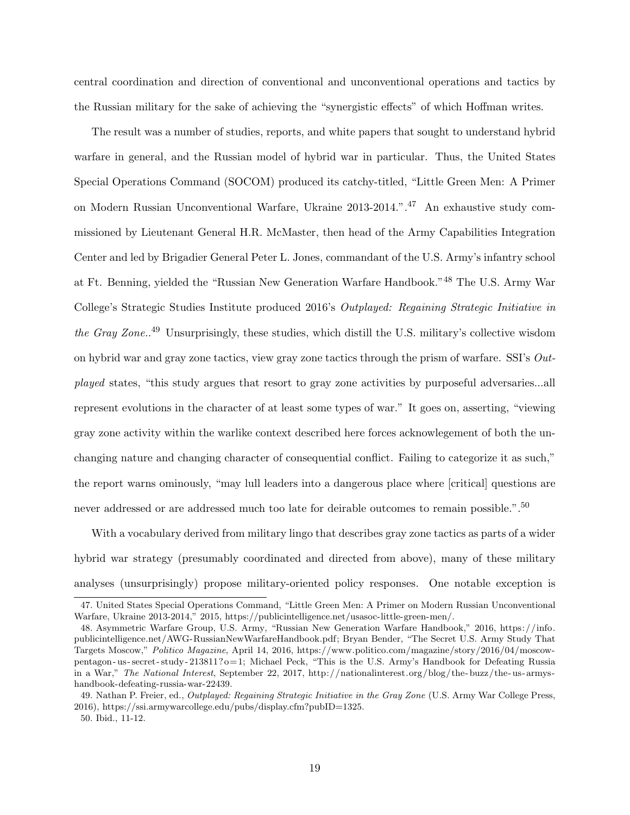central coordination and direction of conventional and unconventional operations and tactics by the Russian military for the sake of achieving the "synergistic effects" of which Hoffman writes.

The result was a number of studies, reports, and white papers that sought to understand hybrid warfare in general, and the Russian model of hybrid war in particular. Thus, the United States Special Operations Command (SOCOM) produced its catchy-titled, "Little Green Men: A Primer on Modern Russian Unconventional Warfare, Ukraine 2013-2014.".<sup>47</sup> An exhaustive study commissioned by Lieutenant General H.R. McMaster, then head of the Army Capabilities Integration Center and led by Brigadier General Peter L. Jones, commandant of the U.S. Army's infantry school at Ft. Benning, yielded the "Russian New Generation Warfare Handbook."<sup>48</sup> The U.S. Army War College's Strategic Studies Institute produced 2016's Outplayed: Regaining Strategic Initiative in the Gray Zone.<sup>49</sup> Unsurprisingly, these studies, which distill the U.S. military's collective wisdom on hybrid war and gray zone tactics, view gray zone tactics through the prism of warfare. SSI's  $Out$ played states, "this study argues that resort to gray zone activities by purposeful adversaries...all represent evolutions in the character of at least some types of war." It goes on, asserting, "viewing gray zone activity within the warlike context described here forces acknowlegement of both the unchanging nature and changing character of consequential conflict. Failing to categorize it as such," the report warns ominously, "may lull leaders into a dangerous place where [critical] questions are never addressed or are addressed much too late for deirable outcomes to remain possible.".<sup>50</sup>

With a vocabulary derived from military lingo that describes gray zone tactics as parts of a wider hybrid war strategy (presumably coordinated and directed from above), many of these military analyses (unsurprisingly) propose military-oriented policy responses. One notable exception is

<sup>47.</sup> United States Special Operations Command, "Little Green Men: A Primer on Modern Russian Unconventional Warfare, Ukraine 2013-2014," 2015, https://publicintelligence.net/usasoc-little-green-men/.

<sup>48.</sup> Asymmetric Warfare Group, U.S. Army, "Russian New Generation Warfare Handbook," 2016, https://info. publicintelligence.net/AWG-RussianNewWarfareHandbook.pdf; Bryan Bender, "The Secret U.S. Army Study That Targets Moscow," Politico Magazine, April 14, 2016, https://www.politico.com/magazine/story/2016/04/moscowpentagon - us - secret - study - 213811?o=1; Michael Peck, "This is the U.S. Army's Handbook for Defeating Russia in a War," The National Interest, September 22, 2017, http://nationalinterest.org/blog/the- buzz/the- us- armyshandbook-defeating-russia-war-22439.

<sup>49.</sup> Nathan P. Freier, ed., *Outplayed: Regaining Strategic Initiative in the Gray Zone* (U.S. Army War College Press, 2016), https://ssi.armywarcollege.edu/pubs/display.cfm?pubID=1325.

<sup>50.</sup> Ibid., 11-12.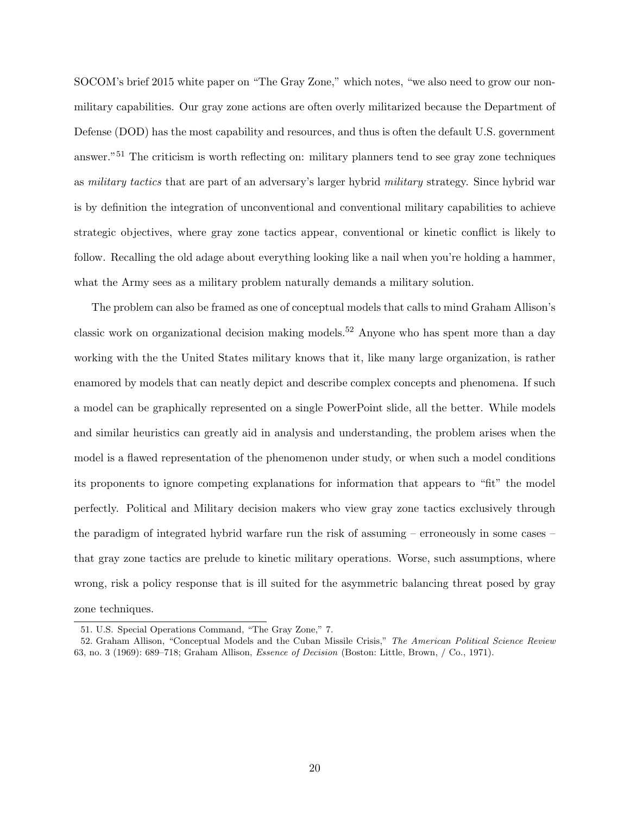SOCOM's brief 2015 white paper on "The Gray Zone," which notes, "we also need to grow our nonmilitary capabilities. Our gray zone actions are often overly militarized because the Department of Defense (DOD) has the most capability and resources, and thus is often the default U.S. government answer."<sup>51</sup> The criticism is worth reflecting on: military planners tend to see gray zone techniques as military tactics that are part of an adversary's larger hybrid military strategy. Since hybrid war is by definition the integration of unconventional and conventional military capabilities to achieve strategic objectives, where gray zone tactics appear, conventional or kinetic conflict is likely to follow. Recalling the old adage about everything looking like a nail when you're holding a hammer, what the Army sees as a military problem naturally demands a military solution.

The problem can also be framed as one of conceptual models that calls to mind Graham Allison's classic work on organizational decision making models.<sup>52</sup> Anyone who has spent more than a day working with the the United States military knows that it, like many large organization, is rather enamored by models that can neatly depict and describe complex concepts and phenomena. If such a model can be graphically represented on a single PowerPoint slide, all the better. While models and similar heuristics can greatly aid in analysis and understanding, the problem arises when the model is a flawed representation of the phenomenon under study, or when such a model conditions its proponents to ignore competing explanations for information that appears to "fit" the model perfectly. Political and Military decision makers who view gray zone tactics exclusively through the paradigm of integrated hybrid warfare run the risk of assuming – erroneously in some cases – that gray zone tactics are prelude to kinetic military operations. Worse, such assumptions, where wrong, risk a policy response that is ill suited for the asymmetric balancing threat posed by gray zone techniques.

<sup>51.</sup> U.S. Special Operations Command, "The Gray Zone," 7.

<sup>52.</sup> Graham Allison, "Conceptual Models and the Cuban Missile Crisis," The American Political Science Review 63, no. 3 (1969): 689–718; Graham Allison, Essence of Decision (Boston: Little, Brown, / Co., 1971).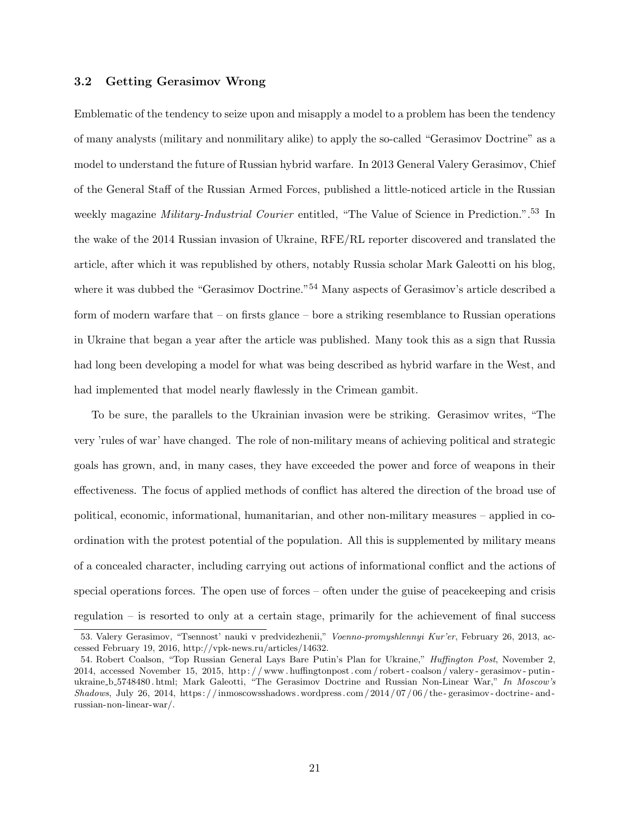### 3.2 Getting Gerasimov Wrong

Emblematic of the tendency to seize upon and misapply a model to a problem has been the tendency of many analysts (military and nonmilitary alike) to apply the so-called "Gerasimov Doctrine" as a model to understand the future of Russian hybrid warfare. In 2013 General Valery Gerasimov, Chief of the General Staff of the Russian Armed Forces, published a little-noticed article in the Russian weekly magazine *Military-Industrial Courier* entitled, "The Value of Science in Prediction.".<sup>53</sup> In the wake of the 2014 Russian invasion of Ukraine, RFE/RL reporter discovered and translated the article, after which it was republished by others, notably Russia scholar Mark Galeotti on his blog, where it was dubbed the "Gerasimov Doctrine."<sup>54</sup> Many aspects of Gerasimov's article described a form of modern warfare that – on firsts glance – bore a striking resemblance to Russian operations in Ukraine that began a year after the article was published. Many took this as a sign that Russia had long been developing a model for what was being described as hybrid warfare in the West, and had implemented that model nearly flawlessly in the Crimean gambit.

To be sure, the parallels to the Ukrainian invasion were be striking. Gerasimov writes, "The very 'rules of war' have changed. The role of non-military means of achieving political and strategic goals has grown, and, in many cases, they have exceeded the power and force of weapons in their effectiveness. The focus of applied methods of conflict has altered the direction of the broad use of political, economic, informational, humanitarian, and other non-military measures – applied in coordination with the protest potential of the population. All this is supplemented by military means of a concealed character, including carrying out actions of informational conflict and the actions of special operations forces. The open use of forces – often under the guise of peacekeeping and crisis regulation – is resorted to only at a certain stage, primarily for the achievement of final success

<sup>53.</sup> Valery Gerasimov, "Tsennost' nauki v predvidezhenii," Voenno-promyshlennyi Kur'er, February 26, 2013, accessed February 19, 2016, http://vpk-news.ru/articles/14632.

<sup>54.</sup> Robert Coalson, "Top Russian General Lays Bare Putin's Plan for Ukraine," Huffington Post, November 2, 2014, accessed November 15, 2015, http : / / www . huffingtonpost . com / robert - coalson / valery - gerasimov - putin ukraine b 5748480 . html; Mark Galeotti, "The Gerasimov Doctrine and Russian Non-Linear War," In Moscow's  $Shadows$ , July 26, 2014, https://inmoscowsshadows.wordpress.com/2014/07/06/the-gerasimov-doctrine-andrussian-non-linear-war/.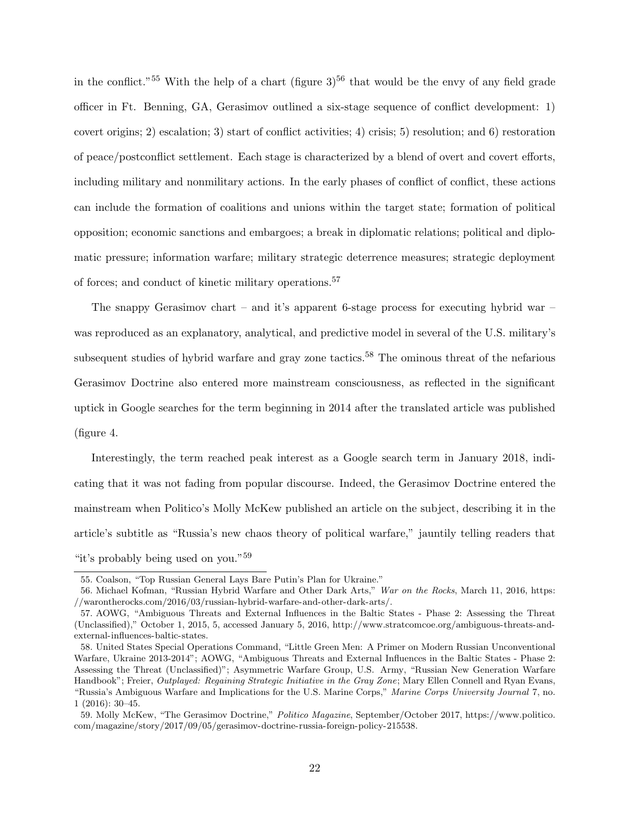in the conflict."<sup>55</sup> With the help of a chart (figure  $3^{56}$  that would be the envy of any field grade officer in Ft. Benning, GA, Gerasimov outlined a six-stage sequence of conflict development: 1) covert origins; 2) escalation; 3) start of conflict activities; 4) crisis; 5) resolution; and 6) restoration of peace/postconflict settlement. Each stage is characterized by a blend of overt and covert efforts, including military and nonmilitary actions. In the early phases of conflict of conflict, these actions can include the formation of coalitions and unions within the target state; formation of political opposition; economic sanctions and embargoes; a break in diplomatic relations; political and diplomatic pressure; information warfare; military strategic deterrence measures; strategic deployment of forces; and conduct of kinetic military operations.<sup>57</sup>

The snappy Gerasimov chart – and it's apparent 6-stage process for executing hybrid war – was reproduced as an explanatory, analytical, and predictive model in several of the U.S. military's subsequent studies of hybrid warfare and gray zone tactics.<sup>58</sup> The ominous threat of the nefarious Gerasimov Doctrine also entered more mainstream consciousness, as reflected in the significant uptick in Google searches for the term beginning in 2014 after the translated article was published (figure 4.

Interestingly, the term reached peak interest as a Google search term in January 2018, indicating that it was not fading from popular discourse. Indeed, the Gerasimov Doctrine entered the mainstream when Politico's Molly McKew published an article on the subject, describing it in the article's subtitle as "Russia's new chaos theory of political warfare," jauntily telling readers that "it's probably being used on you."<sup>59</sup>

<sup>55.</sup> Coalson, "Top Russian General Lays Bare Putin's Plan for Ukraine."

<sup>56.</sup> Michael Kofman, "Russian Hybrid Warfare and Other Dark Arts," War on the Rocks, March 11, 2016, https: //warontherocks.com/2016/03/russian-hybrid-warfare-and-other-dark-arts/.

<sup>57.</sup> AOWG, "Ambiguous Threats and External Influences in the Baltic States - Phase 2: Assessing the Threat (Unclassified)," October 1, 2015, 5, accessed January 5, 2016, http://www.stratcomcoe.org/ambiguous-threats-andexternal-influences-baltic-states.

<sup>58.</sup> United States Special Operations Command, "Little Green Men: A Primer on Modern Russian Unconventional Warfare, Ukraine 2013-2014"; AOWG, "Ambiguous Threats and External Influences in the Baltic States - Phase 2: Assessing the Threat (Unclassified)"; Asymmetric Warfare Group, U.S. Army, "Russian New Generation Warfare Handbook"; Freier, *Outplayed: Regaining Strategic Initiative in the Gray Zone*; Mary Ellen Connell and Ryan Evans, "Russia's Ambiguous Warfare and Implications for the U.S. Marine Corps," Marine Corps University Journal 7, no. 1 (2016): 30–45.

<sup>59.</sup> Molly McKew, "The Gerasimov Doctrine," Politico Magazine, September/October 2017, https://www.politico. com/magazine/story/2017/09/05/gerasimov-doctrine-russia-foreign-policy-215538.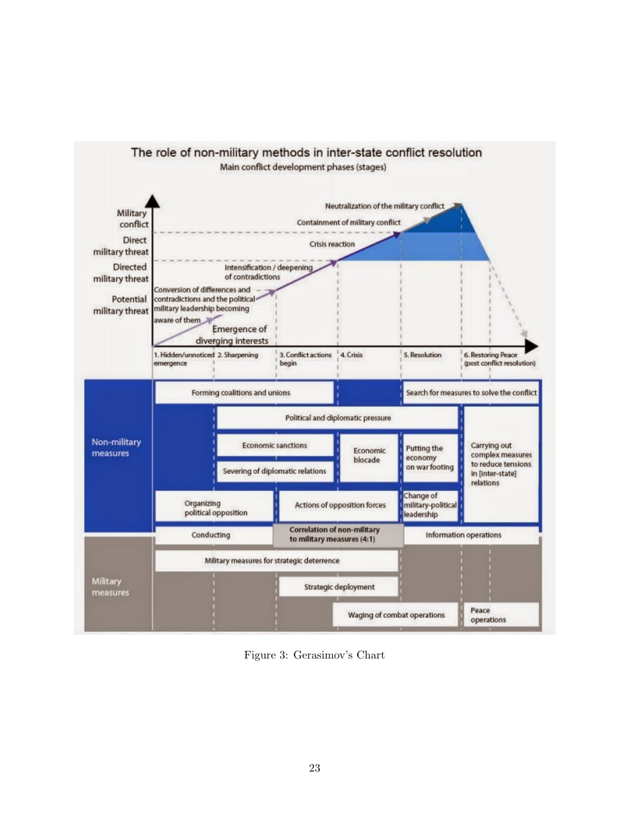

Figure 3: Gerasimov's Chart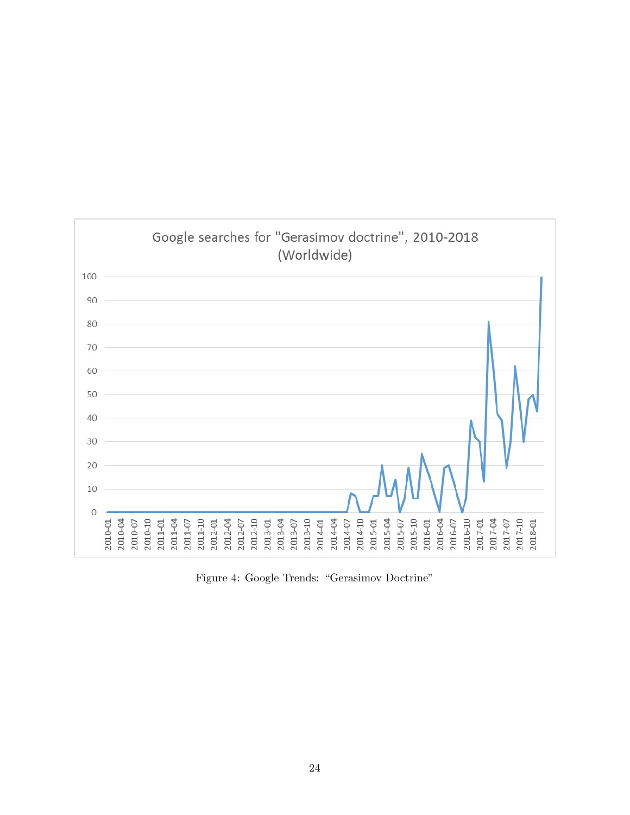

Figure 4: Google Trends: "Gerasimov Doctrine"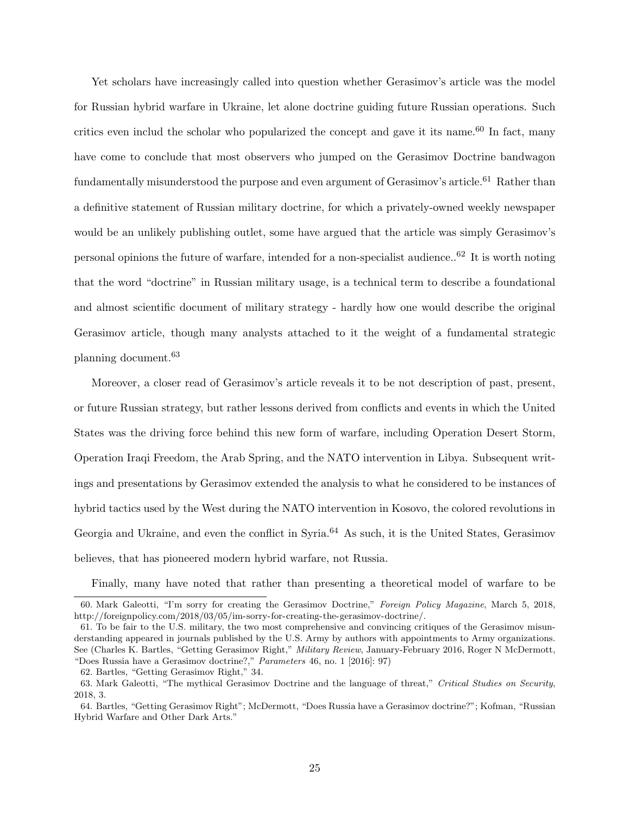Yet scholars have increasingly called into question whether Gerasimov's article was the model for Russian hybrid warfare in Ukraine, let alone doctrine guiding future Russian operations. Such critics even includ the scholar who popularized the concept and gave it its name.<sup>60</sup> In fact, many have come to conclude that most observers who jumped on the Gerasimov Doctrine bandwagon fundamentally misunderstood the purpose and even argument of Gerasimov's article.<sup>61</sup> Rather than a definitive statement of Russian military doctrine, for which a privately-owned weekly newspaper would be an unlikely publishing outlet, some have argued that the article was simply Gerasimov's personal opinions the future of warfare, intended for a non-specialist audience..<sup>62</sup> It is worth noting that the word "doctrine" in Russian military usage, is a technical term to describe a foundational and almost scientific document of military strategy - hardly how one would describe the original Gerasimov article, though many analysts attached to it the weight of a fundamental strategic planning document.<sup>63</sup>

Moreover, a closer read of Gerasimov's article reveals it to be not description of past, present, or future Russian strategy, but rather lessons derived from conflicts and events in which the United States was the driving force behind this new form of warfare, including Operation Desert Storm, Operation Iraqi Freedom, the Arab Spring, and the NATO intervention in Libya. Subsequent writings and presentations by Gerasimov extended the analysis to what he considered to be instances of hybrid tactics used by the West during the NATO intervention in Kosovo, the colored revolutions in Georgia and Ukraine, and even the conflict in Syria.<sup>64</sup> As such, it is the United States, Gerasimov believes, that has pioneered modern hybrid warfare, not Russia.

Finally, many have noted that rather than presenting a theoretical model of warfare to be

<sup>60.</sup> Mark Galeotti, "I'm sorry for creating the Gerasimov Doctrine," Foreign Policy Magazine, March 5, 2018, http://foreignpolicy.com/2018/03/05/im-sorry-for-creating-the-gerasimov-doctrine/.

<sup>61.</sup> To be fair to the U.S. military, the two most comprehensive and convincing critiques of the Gerasimov misunderstanding appeared in journals published by the U.S. Army by authors with appointments to Army organizations. See (Charles K. Bartles, "Getting Gerasimov Right," Military Review, January-February 2016, Roger N McDermott, "Does Russia have a Gerasimov doctrine?," Parameters 46, no. 1 [2016]: 97)

<sup>62.</sup> Bartles, "Getting Gerasimov Right," 34.

<sup>63.</sup> Mark Galeotti, "The mythical Gerasimov Doctrine and the language of threat," Critical Studies on Security, 2018, 3.

<sup>64.</sup> Bartles, "Getting Gerasimov Right"; McDermott, "Does Russia have a Gerasimov doctrine?"; Kofman, "Russian Hybrid Warfare and Other Dark Arts."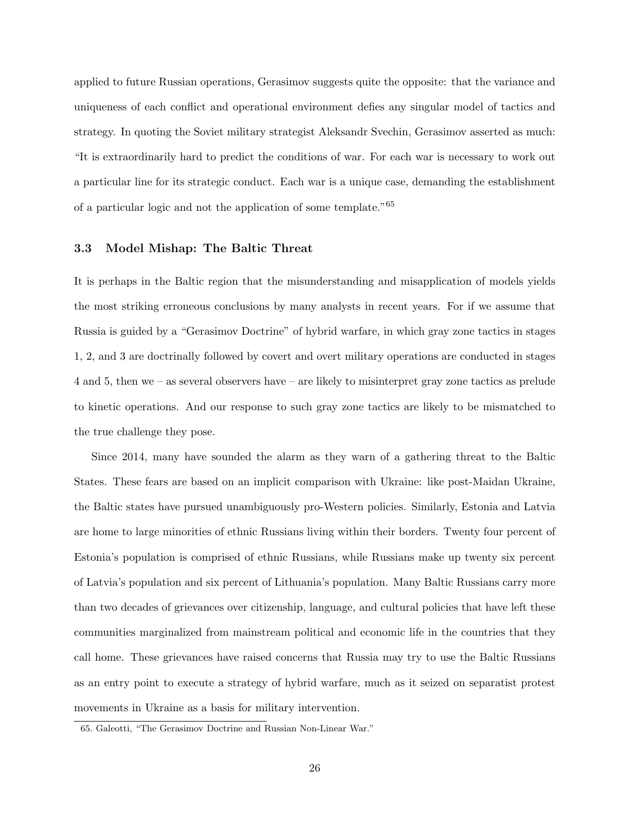applied to future Russian operations, Gerasimov suggests quite the opposite: that the variance and uniqueness of each conflict and operational environment defies any singular model of tactics and strategy. In quoting the Soviet military strategist Aleksandr Svechin, Gerasimov asserted as much: "It is extraordinarily hard to predict the conditions of war. For each war is necessary to work out a particular line for its strategic conduct. Each war is a unique case, demanding the establishment of a particular logic and not the application of some template."<sup>65</sup>

## 3.3 Model Mishap: The Baltic Threat

It is perhaps in the Baltic region that the misunderstanding and misapplication of models yields the most striking erroneous conclusions by many analysts in recent years. For if we assume that Russia is guided by a "Gerasimov Doctrine" of hybrid warfare, in which gray zone tactics in stages 1, 2, and 3 are doctrinally followed by covert and overt military operations are conducted in stages 4 and 5, then we – as several observers have – are likely to misinterpret gray zone tactics as prelude to kinetic operations. And our response to such gray zone tactics are likely to be mismatched to the true challenge they pose.

Since 2014, many have sounded the alarm as they warn of a gathering threat to the Baltic States. These fears are based on an implicit comparison with Ukraine: like post-Maidan Ukraine, the Baltic states have pursued unambiguously pro-Western policies. Similarly, Estonia and Latvia are home to large minorities of ethnic Russians living within their borders. Twenty four percent of Estonia's population is comprised of ethnic Russians, while Russians make up twenty six percent of Latvia's population and six percent of Lithuania's population. Many Baltic Russians carry more than two decades of grievances over citizenship, language, and cultural policies that have left these communities marginalized from mainstream political and economic life in the countries that they call home. These grievances have raised concerns that Russia may try to use the Baltic Russians as an entry point to execute a strategy of hybrid warfare, much as it seized on separatist protest movements in Ukraine as a basis for military intervention.

<sup>65.</sup> Galeotti, "The Gerasimov Doctrine and Russian Non-Linear War."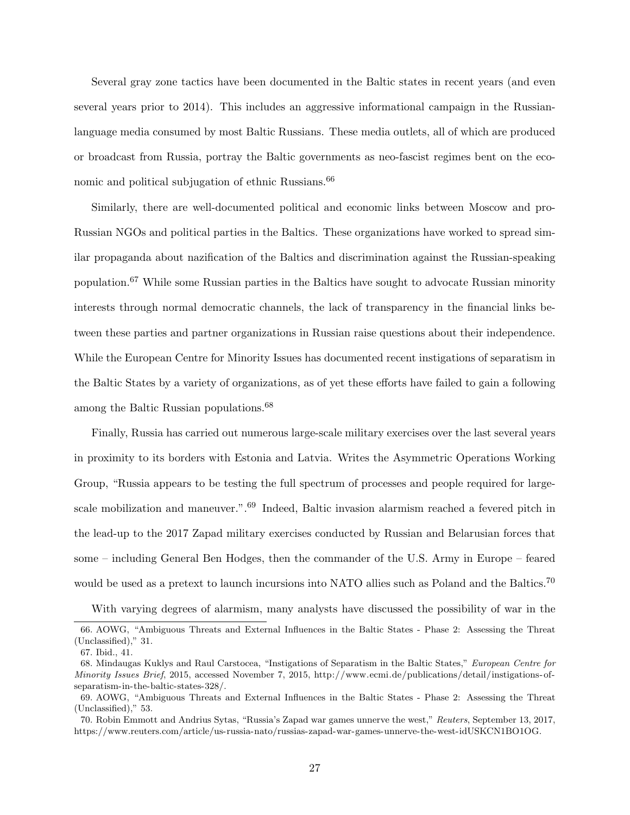Several gray zone tactics have been documented in the Baltic states in recent years (and even several years prior to 2014). This includes an aggressive informational campaign in the Russianlanguage media consumed by most Baltic Russians. These media outlets, all of which are produced or broadcast from Russia, portray the Baltic governments as neo-fascist regimes bent on the economic and political subjugation of ethnic Russians.<sup>66</sup>

Similarly, there are well-documented political and economic links between Moscow and pro-Russian NGOs and political parties in the Baltics. These organizations have worked to spread similar propaganda about nazification of the Baltics and discrimination against the Russian-speaking population.<sup>67</sup> While some Russian parties in the Baltics have sought to advocate Russian minority interests through normal democratic channels, the lack of transparency in the financial links between these parties and partner organizations in Russian raise questions about their independence. While the European Centre for Minority Issues has documented recent instigations of separatism in the Baltic States by a variety of organizations, as of yet these efforts have failed to gain a following among the Baltic Russian populations.<sup>68</sup>

Finally, Russia has carried out numerous large-scale military exercises over the last several years in proximity to its borders with Estonia and Latvia. Writes the Asymmetric Operations Working Group, "Russia appears to be testing the full spectrum of processes and people required for largescale mobilization and maneuver.".<sup>69</sup> Indeed, Baltic invasion alarmism reached a fevered pitch in the lead-up to the 2017 Zapad military exercises conducted by Russian and Belarusian forces that some – including General Ben Hodges, then the commander of the U.S. Army in Europe – feared would be used as a pretext to launch incursions into NATO allies such as Poland and the Baltics.<sup>70</sup>

With varying degrees of alarmism, many analysts have discussed the possibility of war in the

<sup>66.</sup> AOWG, "Ambiguous Threats and External Influences in the Baltic States - Phase 2: Assessing the Threat (Unclassified)," 31.

<sup>67.</sup> Ibid., 41.

<sup>68.</sup> Mindaugas Kuklys and Raul Carstocea, "Instigations of Separatism in the Baltic States," European Centre for Minority Issues Brief, 2015, accessed November 7, 2015, http://www.ecmi.de/publications/detail/instigations-ofseparatism-in-the-baltic-states-328/.

<sup>69.</sup> AOWG, "Ambiguous Threats and External Influences in the Baltic States - Phase 2: Assessing the Threat (Unclassified)," 53.

<sup>70.</sup> Robin Emmott and Andrius Sytas, "Russia's Zapad war games unnerve the west," Reuters, September 13, 2017, https://www.reuters.com/article/us-russia-nato/russias-zapad-war-games-unnerve-the-west-idUSKCN1BO1OG.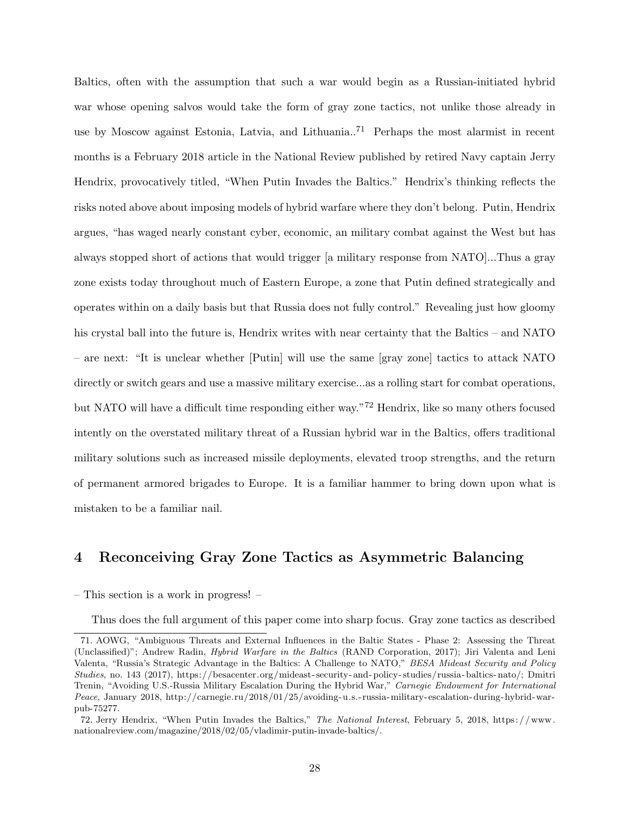Baltics, often with the assumption that such a war would begin as a Russian-initiated hybrid war whose opening salvos would take the form of gray zone tactics, not unlike those already in use by Moscow against Estonia, Latvia, and Lithuania..<sup>71</sup> Perhaps the most alarmist in recent months is a February 2018 article in the National Review published by retired Navy captain Jerry Hendrix, provocatively titled, "When Putin Invades the Baltics." Hendrix's thinking reflects the risks noted above about imposing models of hybrid warfare where they don't belong. Putin, Hendrix argues, "has waged nearly constant cyber, economic, an military combat against the West but has always stopped short of actions that would trigger [a military response from NATO]...Thus a gray zone exists today throughout much of Eastern Europe, a zone that Putin defined strategically and operates within on a daily basis but that Russia does not fully control." Revealing just how gloomy his crystal ball into the future is, Hendrix writes with near certainty that the Baltics – and NATO – are next: "It is unclear whether [Putin] will use the same [gray zone] tactics to attack NATO directly or switch gears and use a massive military exercise...as a rolling start for combat operations, but NATO will have a difficult time responding either way."<sup>72</sup> Hendrix, like so many others focused intently on the overstated military threat of a Russian hybrid war in the Baltics, offers traditional military solutions such as increased missile deployments, elevated troop strengths, and the return of permanent armored brigades to Europe. It is a familiar hammer to bring down upon what is mistaken to be a familiar nail.

# 4 Reconceiving Gray Zone Tactics as Asymmetric Balancing

– This section is a work in progress! –

Thus does the full argument of this paper come into sharp focus. Gray zone tactics as described

<sup>71.</sup> AOWG, "Ambiguous Threats and External Influences in the Baltic States - Phase 2: Assessing the Threat (Unclassified)"; Andrew Radin, Hybrid Warfare in the Baltics (RAND Corporation, 2017); Jiri Valenta and Leni Valenta, "Russia's Strategic Advantage in the Baltics: A Challenge to NATO," BESA Mideast Security and Policy Studies, no. 143 (2017), https://besacenter.org/mideast- security- and- policy- studies/russia- baltics- nato/; Dmitri Trenin, "Avoiding U.S.-Russia Military Escalation During the Hybrid War," Carnegie Endowment for International Peace, January 2018, http://carnegie.ru/2018/01/25/avoiding-u.s.- russia-military-escalation-during-hybrid-warpub-75277.

<sup>72.</sup> Jerry Hendrix, "When Putin Invades the Baltics," The National Interest, February 5, 2018, https: / /www. nationalreview.com/magazine/2018/02/05/vladimir-putin-invade-baltics/.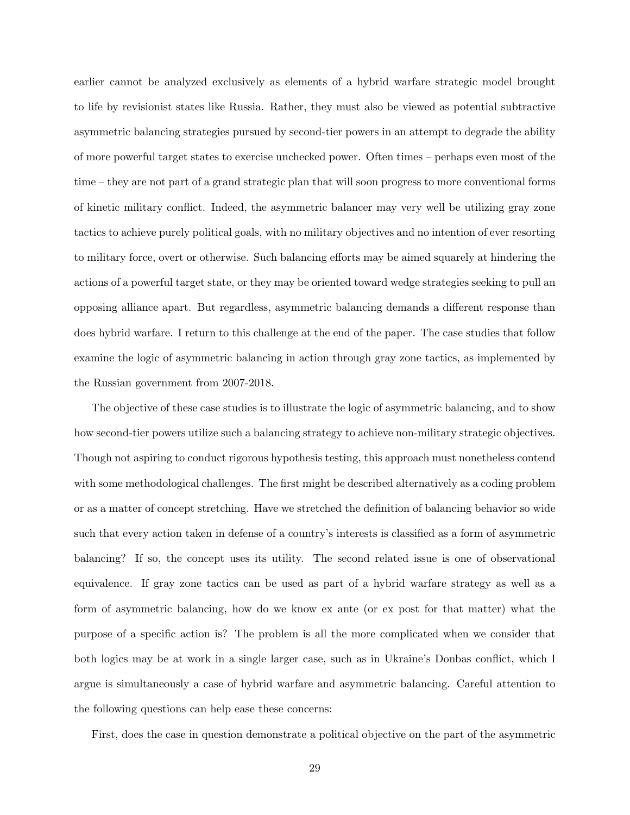earlier cannot be analyzed exclusively as elements of a hybrid warfare strategic model brought to life by revisionist states like Russia. Rather, they must also be viewed as potential subtractive asymmetric balancing strategies pursued by second-tier powers in an attempt to degrade the ability of more powerful target states to exercise unchecked power. Often times – perhaps even most of the time – they are not part of a grand strategic plan that will soon progress to more conventional forms of kinetic military conflict. Indeed, the asymmetric balancer may very well be utilizing gray zone tactics to achieve purely political goals, with no military objectives and no intention of ever resorting to military force, overt or otherwise. Such balancing efforts may be aimed squarely at hindering the actions of a powerful target state, or they may be oriented toward wedge strategies seeking to pull an opposing alliance apart. But regardless, asymmetric balancing demands a different response than does hybrid warfare. I return to this challenge at the end of the paper. The case studies that follow examine the logic of asymmetric balancing in action through gray zone tactics, as implemented by the Russian government from 2007-2018.

The objective of these case studies is to illustrate the logic of asymmetric balancing, and to show how second-tier powers utilize such a balancing strategy to achieve non-military strategic objectives. Though not aspiring to conduct rigorous hypothesis testing, this approach must nonetheless contend with some methodological challenges. The first might be described alternatively as a coding problem or as a matter of concept stretching. Have we stretched the definition of balancing behavior so wide such that every action taken in defense of a country's interests is classified as a form of asymmetric balancing? If so, the concept uses its utility. The second related issue is one of observational equivalence. If gray zone tactics can be used as part of a hybrid warfare strategy as well as a form of asymmetric balancing, how do we know ex ante (or ex post for that matter) what the purpose of a specific action is? The problem is all the more complicated when we consider that both logics may be at work in a single larger case, such as in Ukraine's Donbas conflict, which I argue is simultaneously a case of hybrid warfare and asymmetric balancing. Careful attention to the following questions can help ease these concerns:

First, does the case in question demonstrate a political objective on the part of the asymmetric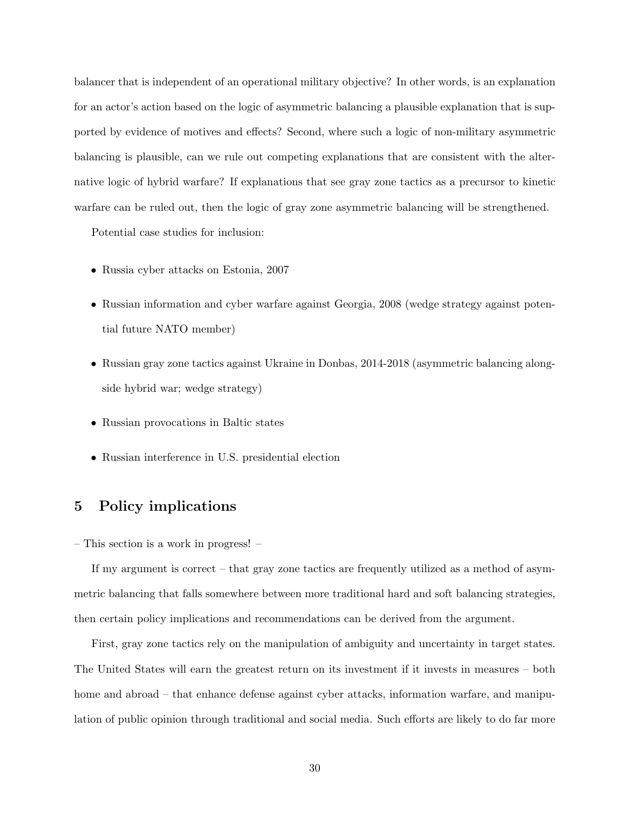balancer that is independent of an operational military objective? In other words, is an explanation for an actor's action based on the logic of asymmetric balancing a plausible explanation that is supported by evidence of motives and effects? Second, where such a logic of non-military asymmetric balancing is plausible, can we rule out competing explanations that are consistent with the alternative logic of hybrid warfare? If explanations that see gray zone tactics as a precursor to kinetic warfare can be ruled out, then the logic of gray zone asymmetric balancing will be strengthened.

Potential case studies for inclusion:

- Russia cyber attacks on Estonia, 2007
- Russian information and cyber warfare against Georgia, 2008 (wedge strategy against potential future NATO member)
- Russian gray zone tactics against Ukraine in Donbas, 2014-2018 (asymmetric balancing alongside hybrid war; wedge strategy)
- Russian provocations in Baltic states
- Russian interference in U.S. presidential election

# 5 Policy implications

– This section is a work in progress! –

If my argument is correct – that gray zone tactics are frequently utilized as a method of asymmetric balancing that falls somewhere between more traditional hard and soft balancing strategies, then certain policy implications and recommendations can be derived from the argument.

First, gray zone tactics rely on the manipulation of ambiguity and uncertainty in target states. The United States will earn the greatest return on its investment if it invests in measures – both home and abroad – that enhance defense against cyber attacks, information warfare, and manipulation of public opinion through traditional and social media. Such efforts are likely to do far more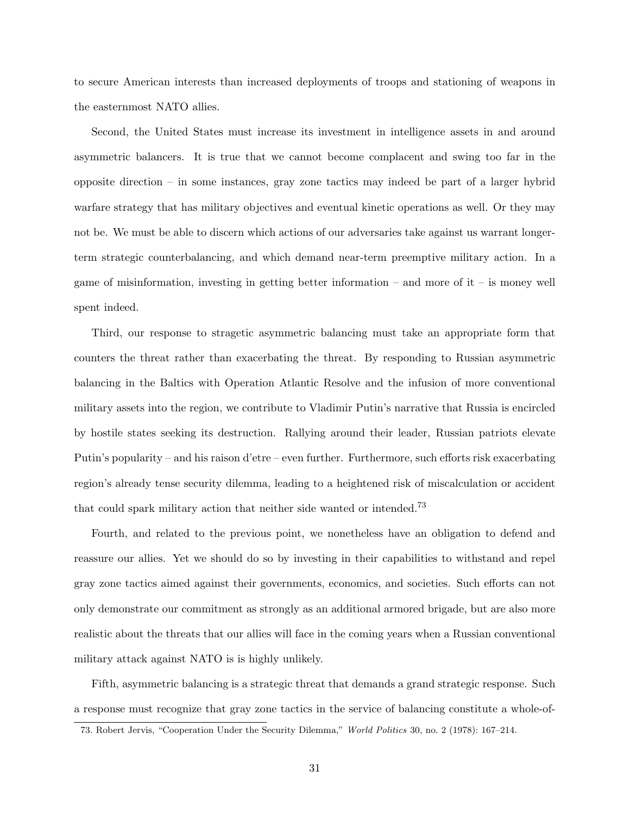to secure American interests than increased deployments of troops and stationing of weapons in the easternmost NATO allies.

Second, the United States must increase its investment in intelligence assets in and around asymmetric balancers. It is true that we cannot become complacent and swing too far in the opposite direction – in some instances, gray zone tactics may indeed be part of a larger hybrid warfare strategy that has military objectives and eventual kinetic operations as well. Or they may not be. We must be able to discern which actions of our adversaries take against us warrant longerterm strategic counterbalancing, and which demand near-term preemptive military action. In a game of misinformation, investing in getting better information – and more of it – is money well spent indeed.

Third, our response to stragetic asymmetric balancing must take an appropriate form that counters the threat rather than exacerbating the threat. By responding to Russian asymmetric balancing in the Baltics with Operation Atlantic Resolve and the infusion of more conventional military assets into the region, we contribute to Vladimir Putin's narrative that Russia is encircled by hostile states seeking its destruction. Rallying around their leader, Russian patriots elevate Putin's popularity – and his raison d'etre – even further. Furthermore, such efforts risk exacerbating region's already tense security dilemma, leading to a heightened risk of miscalculation or accident that could spark military action that neither side wanted or intended.<sup>73</sup>

Fourth, and related to the previous point, we nonetheless have an obligation to defend and reassure our allies. Yet we should do so by investing in their capabilities to withstand and repel gray zone tactics aimed against their governments, economics, and societies. Such efforts can not only demonstrate our commitment as strongly as an additional armored brigade, but are also more realistic about the threats that our allies will face in the coming years when a Russian conventional military attack against NATO is is highly unlikely.

Fifth, asymmetric balancing is a strategic threat that demands a grand strategic response. Such a response must recognize that gray zone tactics in the service of balancing constitute a whole-of-

<sup>73.</sup> Robert Jervis, "Cooperation Under the Security Dilemma," World Politics 30, no. 2 (1978): 167–214.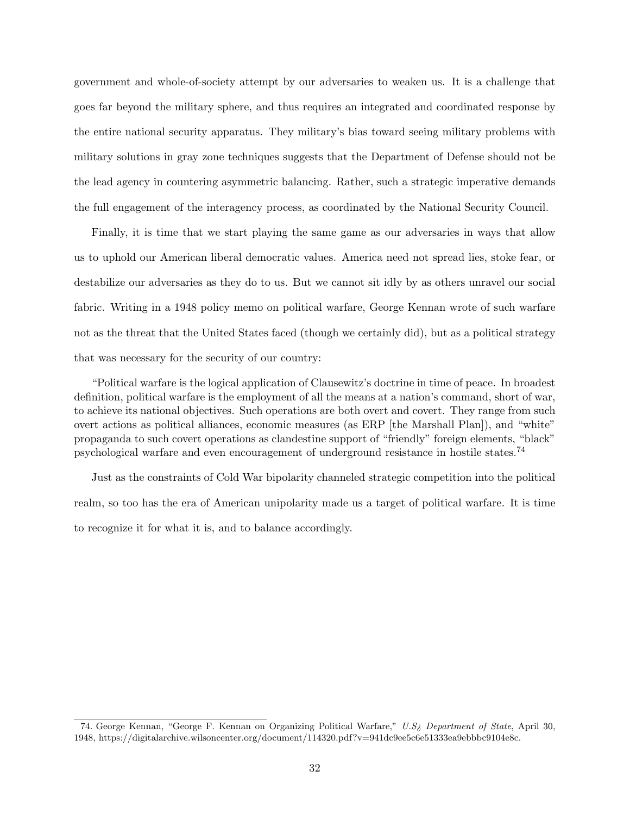government and whole-of-society attempt by our adversaries to weaken us. It is a challenge that goes far beyond the military sphere, and thus requires an integrated and coordinated response by the entire national security apparatus. They military's bias toward seeing military problems with military solutions in gray zone techniques suggests that the Department of Defense should not be the lead agency in countering asymmetric balancing. Rather, such a strategic imperative demands the full engagement of the interagency process, as coordinated by the National Security Council.

Finally, it is time that we start playing the same game as our adversaries in ways that allow us to uphold our American liberal democratic values. America need not spread lies, stoke fear, or destabilize our adversaries as they do to us. But we cannot sit idly by as others unravel our social fabric. Writing in a 1948 policy memo on political warfare, George Kennan wrote of such warfare not as the threat that the United States faced (though we certainly did), but as a political strategy that was necessary for the security of our country:

"Political warfare is the logical application of Clausewitz's doctrine in time of peace. In broadest definition, political warfare is the employment of all the means at a nation's command, short of war, to achieve its national objectives. Such operations are both overt and covert. They range from such overt actions as political alliances, economic measures (as ERP [the Marshall Plan]), and "white" propaganda to such covert operations as clandestine support of "friendly" foreign elements, "black" psychological warfare and even encouragement of underground resistance in hostile states.<sup>74</sup>

Just as the constraints of Cold War bipolarity channeled strategic competition into the political realm, so too has the era of American unipolarity made us a target of political warfare. It is time to recognize it for what it is, and to balance accordingly.

<sup>74.</sup> George Kennan, "George F. Kennan on Organizing Political Warfare," U.S¿ Department of State, April 30, 1948, https://digitalarchive.wilsoncenter.org/document/114320.pdf?v=941dc9ee5c6e51333ea9ebbbc9104e8c.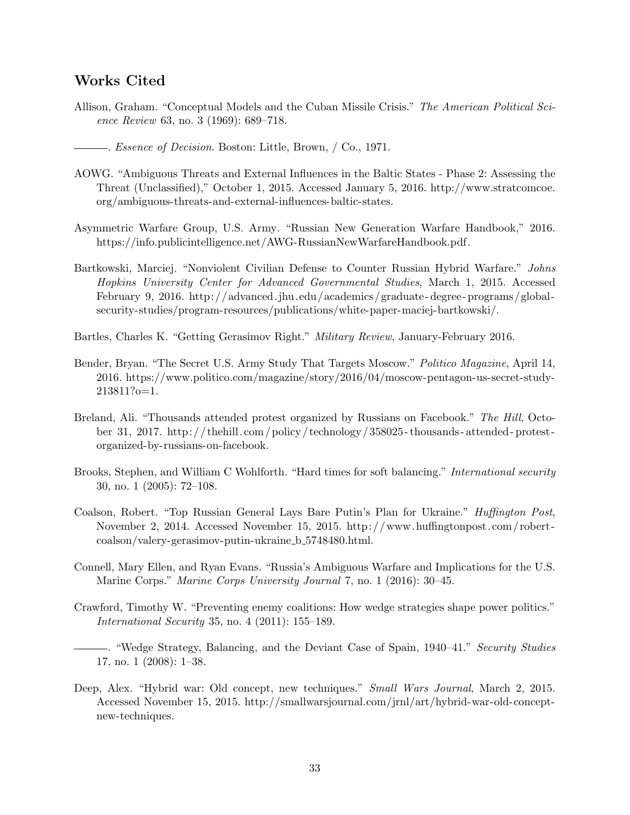# Works Cited

- Allison, Graham. "Conceptual Models and the Cuban Missile Crisis." The American Political Science Review 63, no. 3 (1969): 689–718.
	- . Essence of Decision. Boston: Little, Brown, / Co., 1971.
- AOWG. "Ambiguous Threats and External Influences in the Baltic States Phase 2: Assessing the Threat (Unclassified)," October 1, 2015. Accessed January 5, 2016. http://www.stratcomcoe. org/ambiguous-threats-and-external-influences-baltic-states.
- Asymmetric Warfare Group, U.S. Army. "Russian New Generation Warfare Handbook," 2016. https://info.publicintelligence.net/AWG-RussianNewWarfareHandbook.pdf.
- Bartkowski, Marciej. "Nonviolent Civilian Defense to Counter Russian Hybrid Warfare." Johns Hopkins University Center for Advanced Governmental Studies, March 1, 2015. Accessed February 9, 2016. http://advanced. jhu.edu/academics/graduate - degree - programs/global security-studies/program-resources/publications/white-paper-maciej-bartkowski/.
- Bartles, Charles K. "Getting Gerasimov Right." Military Review, January-February 2016.
- Bender, Bryan. "The Secret U.S. Army Study That Targets Moscow." Politico Magazine, April 14, 2016. https://www.politico.com/magazine/story/2016/04/moscow-pentagon-us-secret-study-213811?o=1.
- Breland, Ali. "Thousands attended protest organized by Russians on Facebook." The Hill, October 31, 2017. http: / / thehill.com /policy / technology / 358025 - thousands - attended - protest organized-by-russians-on-facebook.
- Brooks, Stephen, and William C Wohlforth. "Hard times for soft balancing." International security 30, no. 1 (2005): 72–108.
- Coalson, Robert. "Top Russian General Lays Bare Putin's Plan for Ukraine." Huffington Post, November 2, 2014. Accessed November 15, 2015. http: / /www.huffingtonpost.com / robert coalson/valery-gerasimov-putin-ukraine b 5748480.html.
- Connell, Mary Ellen, and Ryan Evans. "Russia's Ambiguous Warfare and Implications for the U.S. Marine Corps." Marine Corps University Journal 7, no. 1 (2016): 30–45.
- Crawford, Timothy W. "Preventing enemy coalitions: How wedge strategies shape power politics." International Security 35, no. 4 (2011): 155–189.
- . "Wedge Strategy, Balancing, and the Deviant Case of Spain, 1940–41." Security Studies 17, no. 1 (2008): 1–38.
- Deep, Alex. "Hybrid war: Old concept, new techniques." Small Wars Journal, March 2, 2015. Accessed November 15, 2015. http://smallwarsjournal.com/jrnl/art/hybrid-war-old-conceptnew-techniques.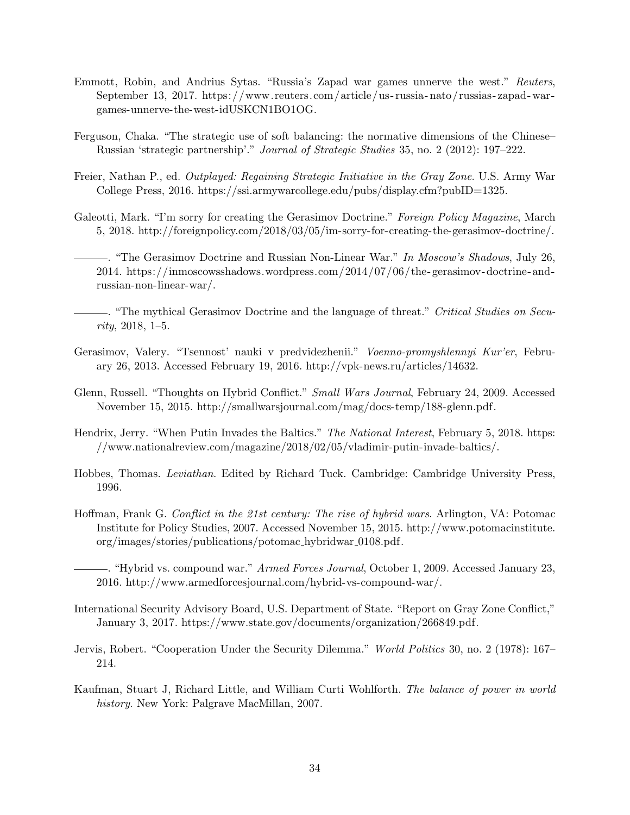- Emmott, Robin, and Andrius Sytas. "Russia's Zapad war games unnerve the west." Reuters, September 13, 2017. https://www.reuters.com/article/us- russia- nato/russias- zapad- wargames-unnerve-the-west-idUSKCN1BO1OG.
- Ferguson, Chaka. "The strategic use of soft balancing: the normative dimensions of the Chinese– Russian 'strategic partnership'." Journal of Strategic Studies 35, no. 2 (2012): 197–222.
- Freier, Nathan P., ed. Outplayed: Regaining Strategic Initiative in the Gray Zone. U.S. Army War College Press, 2016. https://ssi.armywarcollege.edu/pubs/display.cfm?pubID=1325.
- Galeotti, Mark. "I'm sorry for creating the Gerasimov Doctrine." Foreign Policy Magazine, March 5, 2018. http://foreignpolicy.com/2018/03/05/im-sorry-for-creating-the-gerasimov-doctrine/.
- . "The Gerasimov Doctrine and Russian Non-Linear War." In Moscow's Shadows, July 26, 2014. https://inmoscowsshadows.wordpress.com/2014/07/06/the- gerasimov-doctrine- andrussian-non-linear-war/.
- . "The mythical Gerasimov Doctrine and the language of threat." Critical Studies on Security, 2018, 1–5.
- Gerasimov, Valery. "Tsennost' nauki v predvidezhenii." Voenno-promyshlennyi Kur'er, February 26, 2013. Accessed February 19, 2016. http://vpk-news.ru/articles/14632.
- Glenn, Russell. "Thoughts on Hybrid Conflict." Small Wars Journal, February 24, 2009. Accessed November 15, 2015. http://smallwarsjournal.com/mag/docs-temp/188-glenn.pdf.
- Hendrix, Jerry. "When Putin Invades the Baltics." The National Interest, February 5, 2018. https: //www.nationalreview.com/magazine/2018/02/05/vladimir-putin-invade-baltics/.
- Hobbes, Thomas. Leviathan. Edited by Richard Tuck. Cambridge: Cambridge University Press, 1996.
- Hoffman, Frank G. Conflict in the 21st century: The rise of hybrid wars. Arlington, VA: Potomac Institute for Policy Studies, 2007. Accessed November 15, 2015. http://www.potomacinstitute. org/images/stories/publications/potomac hybridwar 0108.pdf.
- . "Hybrid vs. compound war." Armed Forces Journal, October 1, 2009. Accessed January 23, 2016. http://www.armedforcesjournal.com/hybrid-vs-compound-war/.
- International Security Advisory Board, U.S. Department of State. "Report on Gray Zone Conflict," January 3, 2017. https://www.state.gov/documents/organization/266849.pdf.
- Jervis, Robert. "Cooperation Under the Security Dilemma." World Politics 30, no. 2 (1978): 167– 214.
- Kaufman, Stuart J, Richard Little, and William Curti Wohlforth. The balance of power in world history. New York: Palgrave MacMillan, 2007.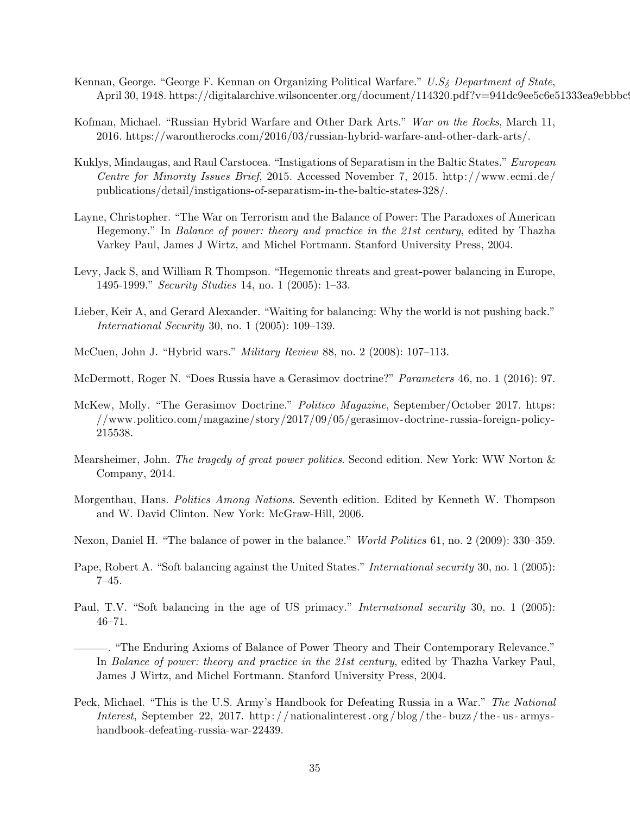- Kennan, George. "George F. Kennan on Organizing Political Warfare."  $U.S_{\delta}$  Department of State, April 30, 1948. https://digitalarchive.wilsoncenter.org/document/114320.pdf?v=941dc9ee5c6e51333ea9ebbbc!
- Kofman, Michael. "Russian Hybrid Warfare and Other Dark Arts." War on the Rocks, March 11, 2016. https://warontherocks.com/2016/03/russian-hybrid-warfare-and-other-dark-arts/.
- Kuklys, Mindaugas, and Raul Carstocea. "Instigations of Separatism in the Baltic States." European Centre for Minority Issues Brief, 2015. Accessed November 7, 2015. http://www.ecmi.de/ publications/detail/instigations-of-separatism-in-the-baltic-states-328/.
- Layne, Christopher. "The War on Terrorism and the Balance of Power: The Paradoxes of American Hegemony." In Balance of power: theory and practice in the 21st century, edited by Thazha Varkey Paul, James J Wirtz, and Michel Fortmann. Stanford University Press, 2004.
- Levy, Jack S, and William R Thompson. "Hegemonic threats and great-power balancing in Europe, 1495-1999." Security Studies 14, no. 1 (2005): 1–33.
- Lieber, Keir A, and Gerard Alexander. "Waiting for balancing: Why the world is not pushing back." International Security 30, no. 1 (2005): 109–139.
- McCuen, John J. "Hybrid wars." Military Review 88, no. 2 (2008): 107–113.
- McDermott, Roger N. "Does Russia have a Gerasimov doctrine?" Parameters 46, no. 1 (2016): 97.
- McKew, Molly. "The Gerasimov Doctrine." Politico Magazine, September/October 2017. https: //www.politico.com/magazine/story/2017/09/05/gerasimov-doctrine-russia- foreign-policy-215538.
- Mearsheimer, John. The tragedy of great power politics. Second edition. New York: WW Norton & Company, 2014.
- Morgenthau, Hans. Politics Among Nations. Seventh edition. Edited by Kenneth W. Thompson and W. David Clinton. New York: McGraw-Hill, 2006.
- Nexon, Daniel H. "The balance of power in the balance." *World Politics* 61, no. 2 (2009): 330–359.
- Pape, Robert A. "Soft balancing against the United States." *International security* 30, no. 1 (2005): 7–45.
- Paul, T.V. "Soft balancing in the age of US primacy." *International security* 30, no. 1 (2005): 46–71.
	- . "The Enduring Axioms of Balance of Power Theory and Their Contemporary Relevance." In Balance of power: theory and practice in the 21st century, edited by Thazha Varkey Paul, James J Wirtz, and Michel Fortmann. Stanford University Press, 2004.
- Peck, Michael. "This is the U.S. Army's Handbook for Defeating Russia in a War." The National Interest, September 22, 2017. http://nationalinterest.org/blog/the-buzz/the-us-armyshandbook-defeating-russia-war-22439.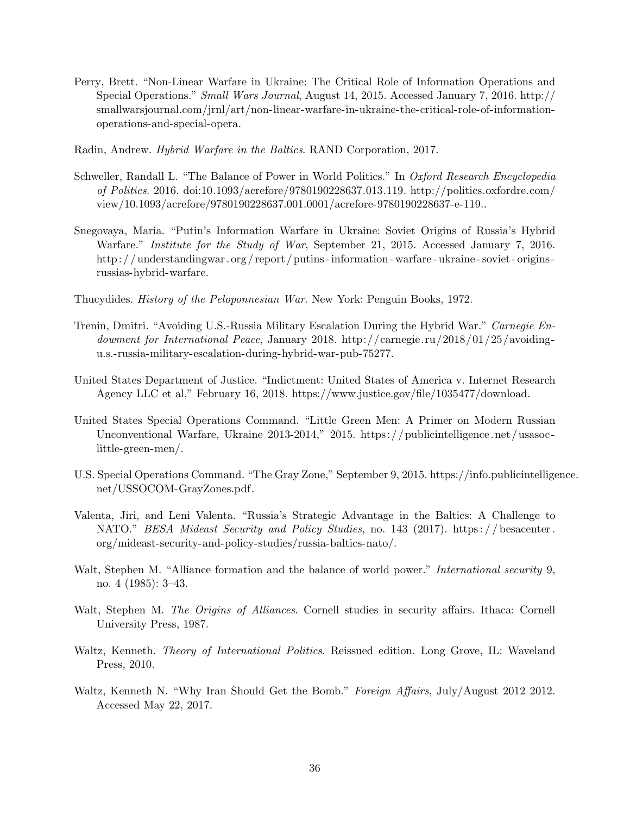- Perry, Brett. "Non-Linear Warfare in Ukraine: The Critical Role of Information Operations and Special Operations." Small Wars Journal, August 14, 2015. Accessed January 7, 2016. http:// smallwarsjournal.com/jrnl/art/non-linear-warfare-in-ukraine-the-critical-role-of-informationoperations-and-special-opera.
- Radin, Andrew. Hybrid Warfare in the Baltics. RAND Corporation, 2017.
- Schweller, Randall L. "The Balance of Power in World Politics." In Oxford Research Encyclopedia of Politics. 2016. doi:10.1093/acrefore/9780190228637.013.119. http://politics.oxfordre.com/ view/10.1093/acrefore/9780190228637.001.0001/acrefore-9780190228637-e-119..
- Snegovaya, Maria. "Putin's Information Warfare in Ukraine: Soviet Origins of Russia's Hybrid Warfare." Institute for the Study of War, September 21, 2015. Accessed January 7, 2016. http: / / understandingwar. org / report / putins - information - warfare - ukraine - soviet - origins russias-hybrid-warfare.
- Thucydides. History of the Peloponnesian War. New York: Penguin Books, 1972.
- Trenin, Dmitri. "Avoiding U.S.-Russia Military Escalation During the Hybrid War." Carnegie Endowment for International Peace, January 2018. http://carnegie.ru/2018/01/25/avoidingu.s.-russia-military-escalation-during-hybrid-war-pub-75277.
- United States Department of Justice. "Indictment: United States of America v. Internet Research Agency LLC et al," February 16, 2018. https://www.justice.gov/file/1035477/download.
- United States Special Operations Command. "Little Green Men: A Primer on Modern Russian Unconventional Warfare, Ukraine 2013-2014," 2015. https://publicintelligence.net/usasoclittle-green-men/.
- U.S. Special Operations Command. "The Gray Zone," September 9, 2015. https://info.publicintelligence. net/USSOCOM-GrayZones.pdf.
- Valenta, Jiri, and Leni Valenta. "Russia's Strategic Advantage in the Baltics: A Challenge to NATO." BESA Mideast Security and Policy Studies, no. 143 (2017). https://besacenter. org/mideast-security-and-policy-studies/russia-baltics-nato/.
- Walt, Stephen M. "Alliance formation and the balance of world power." *International security* 9, no. 4 (1985): 3–43.
- Walt, Stephen M. The Origins of Alliances. Cornell studies in security affairs. Ithaca: Cornell University Press, 1987.
- Waltz, Kenneth. Theory of International Politics. Reissued edition. Long Grove, IL: Waveland Press, 2010.
- Waltz, Kenneth N. "Why Iran Should Get the Bomb." Foreign Affairs, July/August 2012 2012. Accessed May 22, 2017.